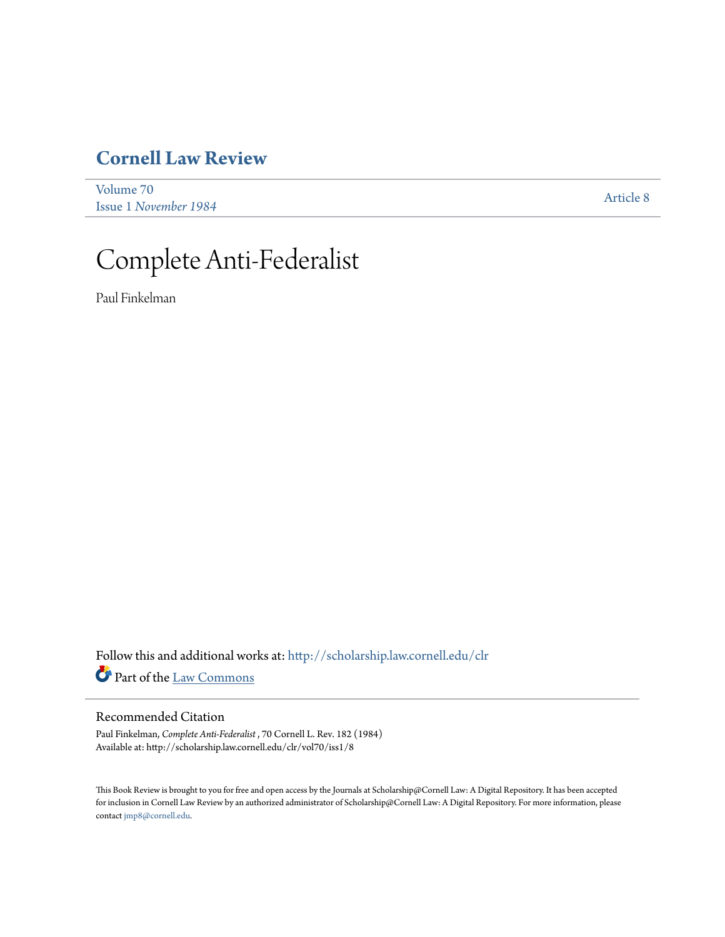# **[Cornell Law Review](http://scholarship.law.cornell.edu/clr?utm_source=scholarship.law.cornell.edu%2Fclr%2Fvol70%2Fiss1%2F8&utm_medium=PDF&utm_campaign=PDFCoverPages)**

[Volume 70](http://scholarship.law.cornell.edu/clr/vol70?utm_source=scholarship.law.cornell.edu%2Fclr%2Fvol70%2Fiss1%2F8&utm_medium=PDF&utm_campaign=PDFCoverPages) Issue 1 *[November 1984](http://scholarship.law.cornell.edu/clr/vol70/iss1?utm_source=scholarship.law.cornell.edu%2Fclr%2Fvol70%2Fiss1%2F8&utm_medium=PDF&utm_campaign=PDFCoverPages)* [Article 8](http://scholarship.law.cornell.edu/clr/vol70/iss1/8?utm_source=scholarship.law.cornell.edu%2Fclr%2Fvol70%2Fiss1%2F8&utm_medium=PDF&utm_campaign=PDFCoverPages)

# Complete Anti-Federalist

Paul Finkelman

Follow this and additional works at: [http://scholarship.law.cornell.edu/clr](http://scholarship.law.cornell.edu/clr?utm_source=scholarship.law.cornell.edu%2Fclr%2Fvol70%2Fiss1%2F8&utm_medium=PDF&utm_campaign=PDFCoverPages) Part of the [Law Commons](http://network.bepress.com/hgg/discipline/578?utm_source=scholarship.law.cornell.edu%2Fclr%2Fvol70%2Fiss1%2F8&utm_medium=PDF&utm_campaign=PDFCoverPages)

# Recommended Citation

Paul Finkelman, *Complete Anti-Federalist* , 70 Cornell L. Rev. 182 (1984) Available at: http://scholarship.law.cornell.edu/clr/vol70/iss1/8

This Book Review is brought to you for free and open access by the Journals at Scholarship@Cornell Law: A Digital Repository. It has been accepted for inclusion in Cornell Law Review by an authorized administrator of Scholarship@Cornell Law: A Digital Repository. For more information, please contact [jmp8@cornell.edu.](mailto:jmp8@cornell.edu)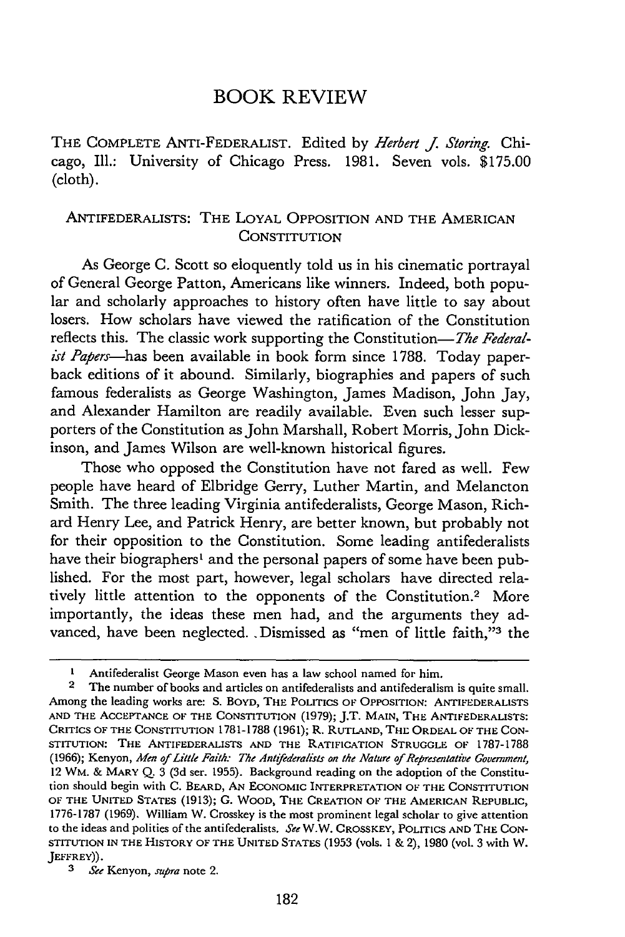# BOOK REVIEW

THE COMPLETE ANTI-FEDERALIST. Edited by *Herbert* **j.** *Storing.* Chicago, Ill.: University of Chicago Press. 1981. Seven vols. \$175.00 (cloth).

# ANTIFEDERALISTS: THE LOYAL OPPOSITION AND THE AMERICAN **CONSTITUTION**

As George C. Scott so eloquently told us in his cinematic portrayal of General George Patton, Americans like winners. Indeed, both popular and scholarly approaches to history often have little to say about losers. How scholars have viewed the ratification of the Constitution reflects this. The classic work supporting the Constitution-The Federalist *Papers-has* been available in book form since 1788. Today paperback editions of it abound. Similarly, biographies and papers of such famous federalists as George Washington, James Madison, John Jay, and Alexander Hamilton are readily available. Even such lesser supporters of the Constitution as John Marshall, Robert Morris, John Dickinson, and James Wilson are well-known historical figures.

Those who opposed the Constitution have not fared as well. Few people have heard of Elbridge Gerry, Luther Martin, and Melancton Smith. The three leading Virginia antifederalists, George Mason, Richard Henry Lee, and Patrick Henry, are better known, but probably not for their opposition to the Constitution. Some leading antifederalists have their biographers' and the personal papers of some have been published. For the most part, however, legal scholars have directed relatively little attention to the opponents of the Constitution.<sup>2</sup> More importantly, the ideas these men had, and the arguments they advanced, have been neglected. .Dismissed as "men of little faith,"<sup>3</sup> the

**<sup>1</sup>** Antifederalist George Mason even has a law school named for him.

<sup>2</sup> The number of books and articles on antifederalists and antifederalism is quite small. Among the leading works are: S. BOYD, THE **POLITICS** OF OPPOSITION: **ANTIFEDERALISTS AND** THE ACCEPTANCE OF THE CONSTITUTION (1979); J.T. **MAIN,** THE ANTIFEDERALISTS: CRITICS OF THE **CONSTITUTION** 1781-1788 (1961); R. **RUTLAND,** THE ORDEAL OF THE **CON-STITUTION:** THE ANTIFEDERALISTS **AND** THE RATIFICATION STRUGGLE OF 1787-1788 (1966); Kenyon, *Men of Little Faith.- The Antifederalists on the Nature of Representative Government,* 12 WM. & MARY Q. 3 (3d ser. 1955). Background reading on the adoption of the Constitution should begin with C. BEARD, AN ECONOMIC INTERPRETATION OF THE **CONSTITUTION** OF THE **UNITED STATES** (1913); **G.** WOOD, THE **CREATION** OF THE AMERICAN REPUBLIC, 1776-1787 (1969). William W. Crosskey is the most prominent legal scholar to give attention to the ideas and politics of the antifederalists. *See* W.W. CROSSKEY, POLITICS **AND** THE **CON-STITUTION IN** THE HISTORY OF THE **UNITED STATES** (1953 (vols. **1** & 2), **1980** (vol. 3 with W. JEFFREY)).

*<sup>3</sup> See* Kenyon, *supra* note 2.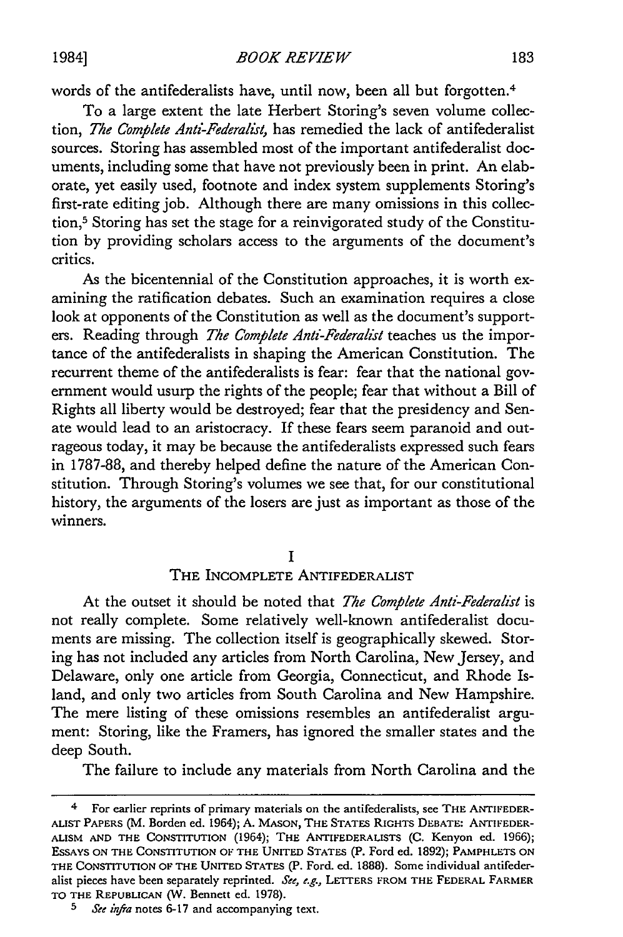words of the antifederalists have, until now, been all but forgotten. <sup>4</sup>

To a large extent the late Herbert Storing's seven volume collection, *The Complete Anti-Federalist,* has remedied the lack of antifederalist sources. Storing has assembled most of the important antifederalist documents, including some that have not previously been in print. An elaborate, yet easily used, footnote and index system supplements Storing's first-rate editing job. Although there are many omissions in this collection,5 Storing has set the stage for a reinvigorated study of the Constitution by providing scholars access to the arguments of the document's critics.

As the bicentennial of the Constitution approaches, it is worth examining the ratification debates. Such an examination requires a close look at opponents of the Constitution as well as the document's supporters. Reading through *The Complete Anti-Federalist* teaches us the importance of the antifederalists in shaping the American Constitution. The recurrent theme of the antifederalists is fear: fear that the national government would usurp the rights of the people; fear that without a Bill of Rights all liberty would be destroyed; fear that the presidency and Senate would lead to an aristocracy. If these fears seem paranoid and outrageous today, it may be because the antifederalists expressed such fears in 1787-88, and thereby helped define the nature of the American Constitution. Through Storing's volumes we see that, for our constitutional history, the arguments of the losers are just as important as those of the winners.

# **I**

# THE INCOMPLETE ANTIFEDERALIST

At the outset it should be noted that *The Complete Anti-Federalist* is not really complete. Some relatively well-known antifederalist documents are missing. The collection itself is geographically skewed. Storing has not included any articles from North Carolina, New Jersey, and Delaware, only one article from Georgia, Connecticut, and Rhode Island, and only two articles from South Carolina and New Hampshire. The mere listing of these omissions resembles an antifederalist argument: Storing, like the Framers, has ignored the smaller states and the deep South.

The failure to include any materials from North Carolina and the

<sup>4</sup> For earlier reprints of primary materials on the antifederalists, see THE **ANTIFEDER-ALIST** PAPERS (M. Borden ed. 1964); **A.** MASON, THE STATES RIGHTS DEBATE: **ANTIFEDER-ALISM AND THE CONSTITUTION** (1964); **THE ANTIFEDERALISTS (C.** Kenyon ed. 1966); ESSAYS **ON** THE **CONSTITUTION** OF THE **UNITED STATES** (P. Ford ed. 1892); PAMPHLETS **ON** THE **CONSTITUTION** OF THE UNITED **STATES** (P. Ford. ed. 1888). Some individual antifederalist pieces have been separately reprinted. *Ste, e.g.,* LETTERS FROM THE FEDERAL FARMER TO THE **REPUBLICAN (W.** Bennett ed. **1978).**

*<sup>5</sup> See inra* notes 6-17 and accompanying text.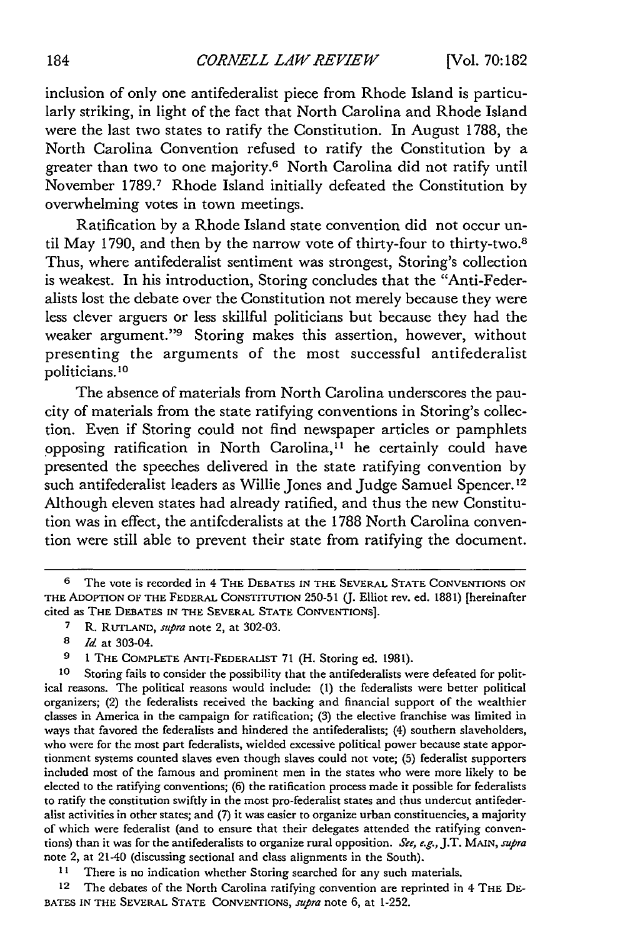inclusion of only one antifederalist piece from Rhode Island is particularly striking, in light of the fact that North Carolina and Rhode Island were the last two states to ratify the Constitution. In August 1788, the North Carolina Convention refused to ratify the Constitution by a greater than two to one majority.6 North Carolina did not ratify until November 1789.7 Rhode Island initially defeated the Constitution by overwhelming votes in town meetings.

Ratification by a Rhode Island state convention did not occur until May 1790, and then by the narrow vote of thirty-four to thirty-two.8 Thus, where antifederalist sentiment was strongest, Storing's collection is weakest. In his introduction, Storing concludes that the "Anti-Federalists lost the debate over the Constitution not merely because they were less clever arguers or less skillful politicians but because they had the weaker argument."9 Storing makes this assertion, however, without presenting the arguments of the most successful antifederalist politicians.<sup>10</sup>

The absence of materials from North Carolina underscores the paucity of materials from the state ratifying conventions in Storing's collection. Even if Storing could not find newspaper articles or pamphlets opposing ratification in North Carolina,"' he certainly could have presented the speeches delivered in the state ratifying convention by such antifederalist leaders as Willie Jones and Judge Samuel Spencer.<sup>12</sup> Although eleven states had already ratified, and thus the new Constitution was in effect, the antifederalists at the 1788 North Carolina convention were still able to prevent their state from ratifying the document.

**<sup>6</sup>** The vote is recorded in 4 THE **DEBATES** IN THE SEVERAL **STATE CONVENTIONS ON** THE **ADOPTION** OF THE FEDERAL **CONSTITUTION** 250-51 (J. Elliot rev. ed. 1881) [hereinafter cited as THE DEBATES **IN THE SEVERAL STATE CONVENTIONS].**

**<sup>7</sup>**R. **RUTLAND,** *supra* note 2, at 302-03.

**<sup>8</sup>***Id* at 303-04.

**<sup>9</sup> 1** THE COMPLETE ANTI-FEDERALIST 71 (H. Storing ed. 1981).

**<sup>10</sup>** Storing fails to consider the possibility that the antifederalists were defeated for political reasons. The political reasons would include: (1) the federalists were better political organizers; (2) the federalists received the backing and financial support of the wealthier classes in America in the campaign for ratification; **(3)** the elective franchise was limited in ways that favored the federalists and hindered the antifederalists; (4) southern slaveholders, who were for the most part federalists, wielded excessive political power because state apportionment systems counted slaves even though slaves could not vote; (5) federalist supporters included most of the famous and prominent men in the states who were more likely to be elected to the ratifying conventions; (6) the ratification process made it possible for federalists to ratify the constitution swiftly in the most pro-federalist states and thus undercut antifederalist activities in other states; and (7) it was easier to organize urban constituencies, a majority of which were federalist (and to ensure that their delegates attended the ratifying conventions) than it was for the antifederalists to organize rural opposition. *See, e.g.,* J.T. **MAIN,** *supra* note 2, at 21-40 (discussing sectional and class alignments in the South).

**<sup>11</sup>**There is no indication whether Storing searched for any such materials.

**<sup>12</sup>** The debates of the North Carolina ratifying convention are reprinted in 4 THE **DE-BATES IN** THE SEVERAL **STATE CONVENTIONS,** *supra* note 6, at 1-252.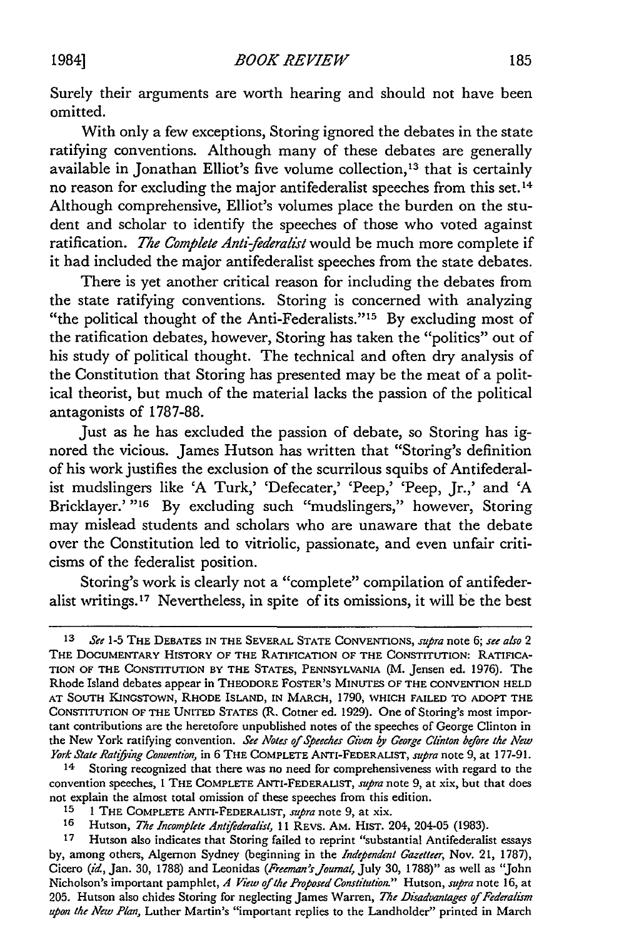Surely their arguments are worth hearing and should not have been omitted.

With only a few exceptions, Storing ignored the debates in the state ratifying conventions. Although many of these debates are generally available in Jonathan Elliot's five volume collection, 13 that is certainly no reason for excluding the major antifederalist speeches from this set. **<sup>14</sup>** Although comprehensive, Elliot's volumes place the burden on the student and scholar to identify the speeches of those who voted against ratification. *The Complete Anti-federalist* would be much more complete if it had included the major antifederalist speeches from the state debates.

There is yet another critical reason for including the debates from the state ratifying conventions. Storing is concerned with analyzing "the political thought of the Anti-Federalists."<sup>15</sup> By excluding most of the ratification debates, however, Storing has taken the "politics" out of his study of political thought. The technical and often dry analysis of the Constitution that Storing has presented may be the meat of a political theorist, but much of the material lacks the passion of the political antagonists of **1787-88.**

Just as he has excluded the passion of debate, so Storing has ignored the vicious. James Hutson has written that "Storing's definition of his work justifies the exclusion of the scurrilous squibs of Antifederalist mudslingers like **'A** Turk,' 'Defecater,' 'Peep,' 'Peep, Jr.,' and **'A** Bricklayer.'<sup>"16</sup> By excluding such "mudslingers," however, Storing may mislead students and scholars who are unaware that the debate over the Constitution led to vitriolic, passionate, and even unfair criticisms of the federalist position.

Storing's work is clearly not a "complete" compilation of antifederalist writings.<sup>17</sup> Nevertheless, in spite of its omissions, it will be the best

**<sup>13</sup>** *See* **1-5** THE **DEBATES IN** THE SEVERAL **STATE CONVENTIONS,** supra note **6;** *see also 2* THE **DOCUMENTARY** HISTORY OF THE RATIFICATION OF THE **CONSTITUTION:** RATIFICA-**TION** OF THE CONSTITUTION BY THE **STATES,** PENNSYLVANIA (M. Jensen ed. **1976).** The Rhode Island debates appear in THEODORE FOSTER'S **MINUTES** OF THE **CONVENTION HELD AT SOUTH KINGSTOWN,** RHODE ISLAND, IN MARCH, **1790,** WHICH FAILED TO **ADOPT** THE **CONSTITUTION** OF THE **UNITED STATES** (R. Cotner ed. **1929).** One of Storing's most important contributions are the heretofore unpublished notes of the speeches of George Clinton in the New York ratifying convention. *See Notes of Speeches Given by George Clinton before the New York State Ratifying Convention*, in 6 THE COMPLETE ANTI-FEDERALIST, *supra* note 9, at 177-91.<br><sup>14</sup> Storing recognized that there was no need for comprehensiveness with regard to the

Storing recognized that there was no need for comprehensiveness with regard to the convention speeches, **1** THE COMPLETE ANTI-FEDERALIST, *supra* note **9,** at xix, but that does not explain the almost total omission of these speeches from this edition.

**<sup>15 1</sup>** THE COMPLETE ANTI-FEDERALIST, *supra* note **9,** at xix.

**<sup>16</sup>** Hutson, *The Incomplete Antifederalist,* **11** REVS. AM. HIST. 204, 204-05 **(1983).**

**<sup>17</sup>** Hutson also indicates that Storing failed to reprint "substantial Antifederalist essays **by,** among others, Algernon Sydney (beginning in the *Independent Cazetteer,* Nov. 21, **1787),** Cicero *(id,* Jan. **30, 1788)** and Leonidas *(Freeman'sJroumal,* July **30, 1788)"** as well as "John Nicholson's important pamphlet, *A* **View** *of the Proposed Constitution."* Hutson, *supra* note **16,** at **205.** Hutson also chides Storing for neglecting James Warren, *The Disadvantages of Federalism upon the New Plan,* Luther Martin's "important replies to the Landholder" printed in March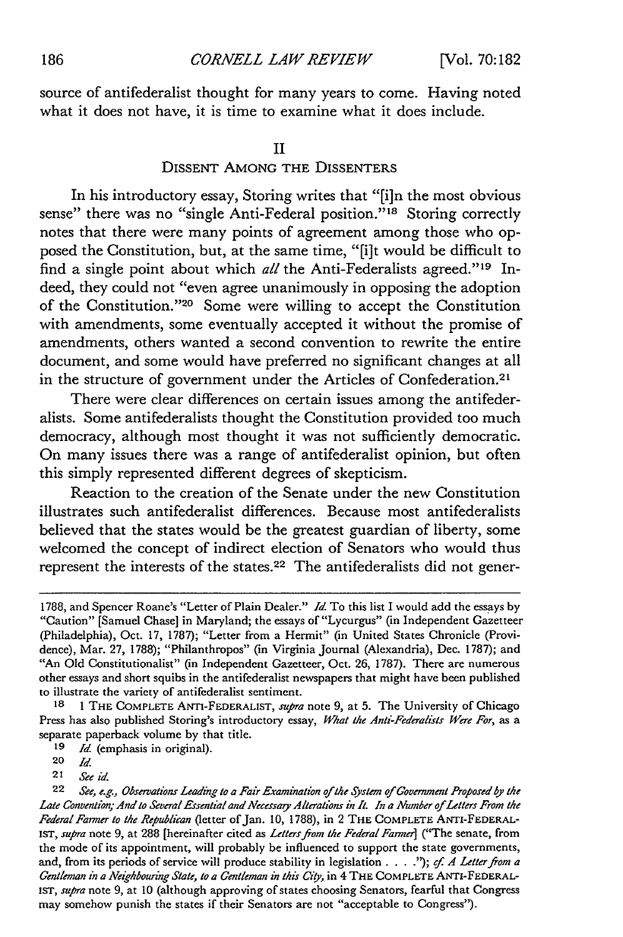source of antifederalist thought for many years to come. Having noted what it does not have, it is time to examine what it does include.

#### **II**

# DISSENT **AMONG** THE DISSENTERS

In his introductory essay, Storing writes that "[i]n the most obvious sense" there was no "single Anti-Federal position."<sup>18</sup> Storing correctly notes that there were many points of agreement among those who opposed the Constitution, but, at the same time, **"[i]t** would be difficult to find a single point about which *all* the Anti-Federalists agreed."<sup>19</sup> Indeed, they could not "even agree unanimously in opposing the adoption of the Constitution. '20 Some were willing to accept the Constitution with amendments, some eventually accepted it without the promise of amendments, others wanted a second convention to rewrite the entire document, and some would have preferred no significant changes at all in the structure of government under the Articles of Confederation.<sup>21</sup>

There were clear differences on certain issues among the antifederalists. Some antifederalists thought the Constitution provided too much democracy, although most thought it was not sufficiently democratic. On many issues there was a range of antifederalist opinion, but often this simply represented different degrees of skepticism.

Reaction to the creation of the Senate under the new Constitution illustrates such antifederalist differences. Because most antifederalists believed that the states would be the greatest guardian of liberty, some welcomed the concept of indirect election of Senators who would thus represent the interests of the states.<sup>22</sup> The antifederalists did not gener-

**<sup>1788,</sup>** and Spencer Roane's "Letter of Plain Dealer." *Id* To this list I would add the essays **by** "Caution" [Samuel Chase] in Maryland; the essays of "Lycurgus" (in Independent Gazetteer (Philadelphia), Oct. **17, 1787);** "Letter from a Hermit" (in United States Chronicle (Providence), Mar. **27, 1788);** "Philanthropos" (in Virginia Journal (Alexandria), Dec. **1787);** and "An **Old** Constitutionalist" (in Independent Gazetteer, Oct. **26, 1787).** There are numerous other essays and short squibs in the antifederalist newspapers that might have been published to illustrate the variety of antifederalist sentiment.

**<sup>18</sup>1** THE COMPLETE ANTI-FEDERALIST, *supra* note **9,** at **5.** The University of Chicago Press has also published Storing's introductory essay, *What the Anti-Federalists Were For,* as a separate paperback volume **by** that title.

**<sup>19</sup>** *Id* (emphasis in original).

**<sup>20</sup>** *Id*

*<sup>21</sup>* **See** *id*

<sup>22</sup> *See, e.g., Observations Leading to a Fair Examination of the System of Covernment Proposed by the Late Convention; And to Several Essential and Necessa7y Alterations in It. In a Number of Letters From the Federal Farmer to the Republican* (letter of Jan. **10, 1788),** in 2 THE COMPLETE **ANTI-FEDERAL-**IST, *supra* note **9,** at **288** [hereinafter cited as *Letters* **from** *the Federal Farmer]* ("The senate, from the mode of its appointment, will probably be influenced to support the state governments, and, from its periods of service will produce stability in legislation **.... "); cf.** *A Letterfrom a Gentleman in a Neighbouring State, to a Gentleman in this City,* in 4 THE COMPLETE ANTI-FEDERAL-IST, *supra* note **9,** at **10** (although approving of states choosing Senators, fearful that Congress may somehow punish the states if their Senators are not "acceptable to Congress").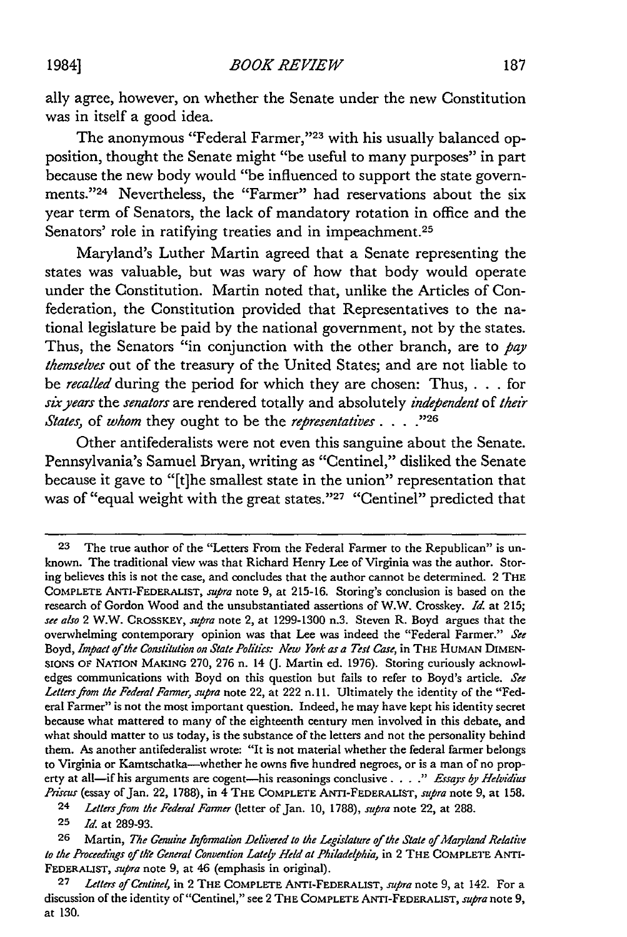ally agree, however, on whether the Senate under the new Constitution was in itself a good idea.

The anonymous "Federal Farmer,"23 with his usually balanced opposition, thought the Senate might "be useful to many purposes" in part because the new body would "be influenced to support the state governments."<sup>24</sup> Nevertheless, the "Farmer" had reservations about the six year term of Senators, the lack of mandatory rotation in office and the Senators' role in ratifying treaties and in impeachment.<sup>25</sup>

Maryland's Luther Martin agreed that a Senate representing the states was valuable, but was wary of how that body would operate under the Constitution. Martin noted that, unlike the Articles of Confederation, the Constitution provided that Representatives to the national legislature be paid by the national government, not by the states. Thus, the Senators "in conjunction with the other branch, are to *pay themselves* out of the treasury of the United States; and are not liable to be *recalled* during the period for which they are chosen: Thus, . . . for *siryears* the *senators* are rendered totally and absolutely *independent* of *their States,* of *whom* they ought to be the *representatives .... -26*

Other antifederalists were not even this sanguine about the Senate. Pennsylvania's Samuel Bryan, writing as "Centinel," disliked the Senate because it gave to "[t]he smallest state in the union" representation that was of "equal weight with the great states."<sup>27</sup> "Centinel" predicted that

**<sup>23</sup>** The true author of the "Letters From the Federal Farmer to the Republican" is unknown. The traditional view was that Richard Henry Lee of Virginia was the author. Storing believes this is not the case, and concludes that the author cannot be determined. 2 THE COMPLETE ANTI-FEDERALIST, *supra* note 9, at 215-16. Storing's conclusion is based on the research of Gordon Wood and the unsubstantiated assertions of W.W. Crosskey. *Id.* at 215; *see also* 2 W.W. CROSSKEY, supra note 2, at 1299-1300 n.3. Steven R. Boyd argues that the overwhelming contemporary opinion was that Lee was indeed the "Federal Farmer." *See* Boyd, Impact of the Constitution on State Politics: New York as a Test Case, in THE HUMAN DIMEN-**SIONS** OF NATION **MAKING** 270, 276 n. 14 *(J.* Martin ed. 1976). Storing curiously acknowledges communications with Boyd on this question but fails to refer to Boyd's article. *See Lettersfrom the Federal Farmer, supra* note 22, at 222 n. **11.** Ultimately the identity of the "Federal Farmer" is not the most important question. Indeed, he may have kept his identity secret because what mattered to many of the eighteenth century men involved in this debate, and what should matter to us today, is the substance of the letters and not the personality behind them. As another antifederalist wrote: "It is not material whether the federal farmer belongs to Virginia or Kamtschatka--whether he owns five hundred negroes, or is a man of no property at all-if his arguments are cogent-his reasonings conclusive *.... " Essays by Helvidis Priscu* (essay of Jan. 22, 1788), in 4 **THE** COMPLETE ANTI-FEDERALIST, *supra* note 9, at 158.

**<sup>24</sup>** *Lettersfrom the Federal Farmer* (letter of Jan. 10, 1788), *supra* note 22, at 288.

**<sup>25</sup>** *Id.* at 289-93.

**<sup>26</sup>** Martin, *The Genuine Information Delivered to the Legislature of the State of Mayland Relative to the Proceedings of th'e General Convention Latey Held at Philadelphia,* in 2 THE **COMPLETE** ANTs-FEDERALIST, *supra* note 9, at 46 (emphasis in original).

**<sup>27</sup>** *Letters of Centinel,* in 2 THE **COMPLETE** ANTI-FEDERALIST, *supra* note 9, at 142. For a discussion of the identity of "Centinel," see 2 THE **COMPLETE** ANTI-FEDERALIST, *supra* note 9, at 130.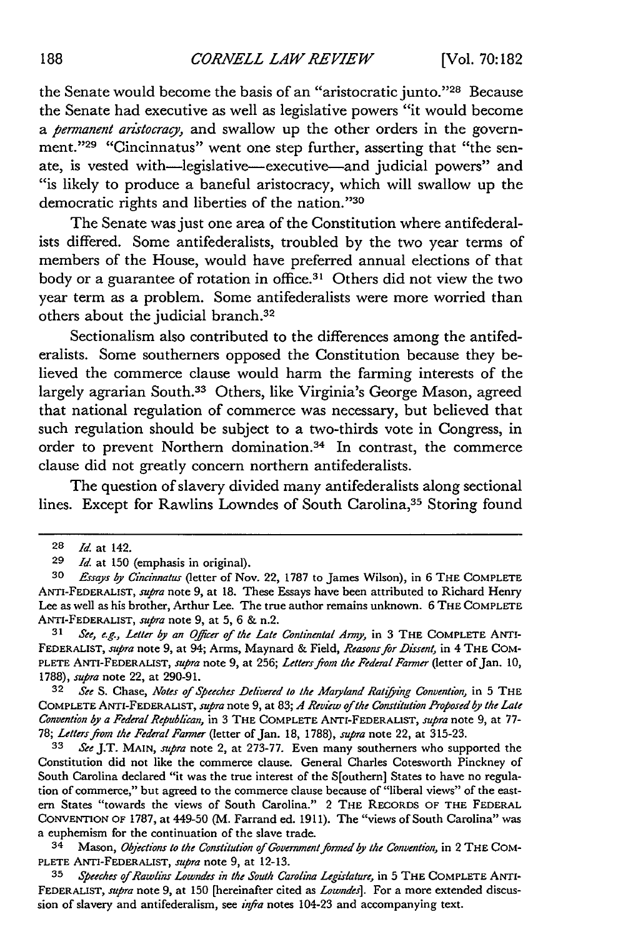the Senate would become the basis of an "aristocratic junto. '28 Because the Senate had executive as well as legislative powers "it would become *a permanent aristocracy,* and swallow up the other orders in the government."<sup>29</sup> "Cincinnatus" went one step further, asserting that "the senate, is vested with-legislative-executive-and judicial powers" and "is likely to produce a baneful aristocracy, which will swallow up the democratic rights and liberties of the nation."30

The Senate was just one area of the Constitution where antifederalists differed. Some antifederalists, troubled by the two year terms of members of the House, would have preferred annual elections of that body or a guarantee of rotation in office.<sup>31</sup> Others did not view the two year term as a problem. Some antifederalists were more worried than others about the judicial branch.<sup>32</sup>

Sectionalism also contributed to the differences among the antifederalists. Some southerners opposed the Constitution because they believed the commerce clause would harm the farming interests of the largely agrarian South.33 Others, like Virginia's George Mason, agreed that national regulation of commerce was necessary, but believed that such regulation should be subject to a two-thirds vote in Congress, in order to prevent Northern domination.<sup>34</sup> In contrast, the commerce clause did not greatly concern northern antifederalists.

The question of slavery divided many antifederalists along sectional lines. Except for Rawlins Lowndes of South Carolina,<sup>35</sup> Storing found

**32** *See* S. Chase, *Notes of Speeches Delivered to the Mayland Ratiying Convention,* in 5 THE COMPLETE ANTI-FEDERALIST, *supra* note 9, at 83; *A Review of the Constitution Proposed by the Late Convention by a Federal Republican,* in 3 THE COMPLETE ANTI-FEDERALIST, *supra* note 9, at 77- 78; *Lettersfrom the Federal Farmer* (letter of Jan. 18, 1788), *supra* note 22, at 315-23.

**<sup>33</sup>***See* J.T. **MAIN,** *supra* note 2, at 273-77. Even many southerners who supported the Constitution did not like the commerce clause. General Charles Cotesworth Pinckney of South Carolina declared "it was the true interest of the S[outhern] States to have no regulation of commerce," but agreed to the commerce clause because of "liberal views" of the eastern States "towards the views of South Carolina." 2 THE RECORDS OF THE FEDERAL **CONVENTION** OF 1787, at 449-50 (M. Farrand ed. 1911). The "views of South Carolina" was a euphemism for the continuation of the slave trade.

34 Mason, *Objections to the Constitution of Government formed by the Convention,* in 2 THE **COM-**PLETE ANTI-FEDERALIST, *supra* note 9, at 12-13.

**35** *Speeches of Rawlins Lowndes in the South Carolina Legislature,* in 5 THE COMPLETE ANTI-FEDERALIST, *supra* note 9, at 150 [hereinafter cited as *Lowndes].* For a more extended discussion of slavery and antifederalism, see *infra* notes 104-23 and accompanying text.

**<sup>28</sup>** *Id.* at 142.

**<sup>29</sup> Id.** at 150 (emphasis in original).

**<sup>30</sup>** *Essays by Cincinnatus* (letter of Nov. 22, 1787 to James Wilson), in 6 THE COMPLETE ANTI-FEDERALIST, *supra* note 9, at **18.** These Essays have been attributed to Richard Henry Lee as well as his brother, Arthur Lee. The true author remains unknown. 6 THE COMPLETE **ANTI-FEDERALIST,** *supra* note 9, at 5, 6 & n.2.

**<sup>31</sup>** *See, e.g., Letter by an Ojier of the Late Continental Army,* in 3 THE COMPLETE ANTI-FEDERALIST, *supra* note 9, at 94; Arms, Maynard & Field, *Reasons for Dissent,* in 4 THE COM-PLETE **ANTI-FEDERALIST,** supra note 9, at 256; *Letters from the Federal Farmer* (letter of Jan. 10, 1788), *supra* note 22, at 290-91.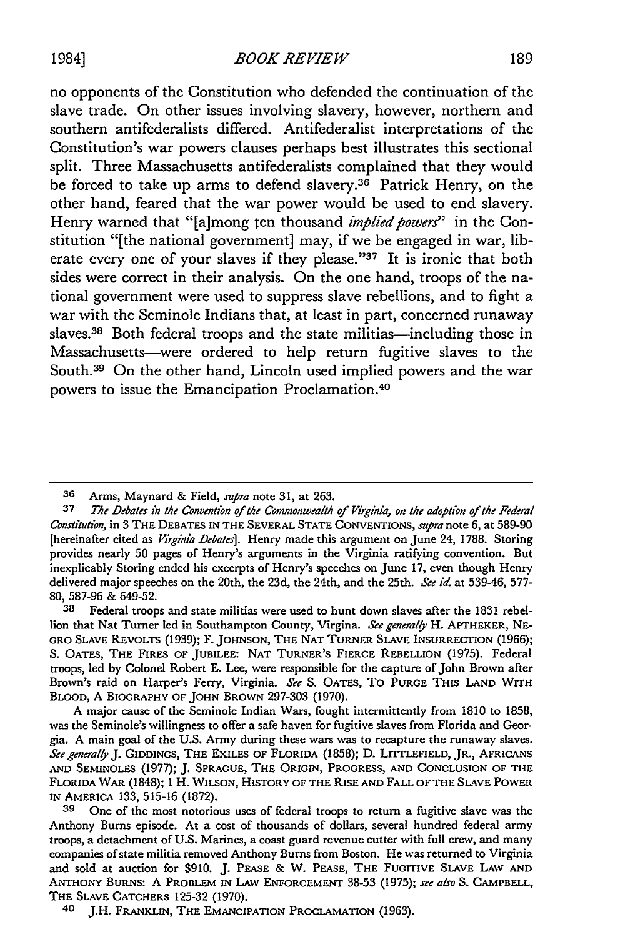1984] *BOOK REVIEW*

no opponents of the Constitution who defended the continuation of the slave trade. On other issues involving slavery, however, northern and southern antifederalists differed. Antifederalist interpretations of the Constitution's war powers clauses perhaps best illustrates this sectional split. Three Massachusetts antifederalists complained that they would be forced to take up arms to defend slavery.36 Patrick Henry, on the other hand, feared that the war power would be used to end slavery. Henry warned that "[a]mong ten thousand *implied powers*" in the Constitution "[the national government] may, if we be engaged in war, liberate every one of your slaves if they please."37 It is ironic that both sides were correct in their analysis. On the one hand, troops of the national government were used to suppress slave rebellions, and to fight a war with the Seminole Indians that, at least in part, concerned runaway slaves.<sup>38</sup> Both federal troops and the state militias—including those in Massachusetts-were ordered to help return fugitive slaves to the South.<sup>39</sup> On the other hand, Lincoln used implied powers and the war powers to issue the Emancipation Proclamation.4°

**<sup>36</sup>** Arms, Maynard & Field, *supra* note **31,** at 263.

**<sup>37</sup>** *The Debates in the Convention of the Commonwealth of Virgia, on the adoption of the Federal Constitution,* in 3 THE **DEBATES IN** THE SEVERAL **STATE** CONVENTIONS, *supra* note 6, at 589-90 [hereinafter cited as *Virginia Debates].* Henry made this argument on June 24, 1788. Storing provides nearly 50 pages of Henry's arguments in the Virginia ratifying convention. But inexplicably Storing ended his excerpts of Henry's speeches on June 17, even though Henry delivered major speeches on the 20th, the 23d, the 24th, and the 25th. *See id.* at 539-46, 577- 80, 587-96 & 649-52.

**<sup>38</sup>** Federal troops and state militias were used to hunt down slaves after the 1831 rebellion that Nat Turner led in Southampton County, Virgina. *See generaly* H. APTHEKER, **NE-**GRO **SLAVE** REVOLTS (1939); F. **JOHNSON,** THE **NAT** TURNER SLAVE INSURRECFION (1966); **S.** OATES, THE FIRES OF **JUBILEE: NAT** TURNER'S FIERCE REBELLION (1975). Federal troops, led by Colonel Robert E. Lee, were responsible for the capture of John Brown after Brown's raid on Harper's Ferry, Virginia. *See* S. **OATES,** To **PURGE THIS LAND** WITH BLOOD, A BIOGRAPHY OF **JOHN** BROWN 297-303 (1970).

A major cause of the Seminole Indian Wars, fought intermittently from 1810 to 1858, was the Seminole's willingness to offer a safe haven for fugitive slaves from Florida and Georgia. A main goal of the U.S. Army during these wars was to recapture the runaway slaves. *See generally J.* GIDDINGS, **THE EXILES** OF FLORIDA (1858); **D.** LITTLEFIELD, JR., **AFRICANS AND SEMINOLES** (1977); J. **SPRAGUE, THE** ORIGIN, PROGRESS, **AND CONCLUSION** OF **THE** FLORIDA WAR (1848); **1** H. **WILSON,** HISTORY OF THE **RISE AND** FALL OF **THE SLAVE** POWER **IN** AMERICA 133, 515-16 (1872).

**<sup>39</sup>** One of the most notorious uses of federal troops to return a fugitive slave was the Anthony Burns episode. At a cost of thousands of dollars, several hundred federal army troops, a detachment of U.S. Marines, a coast guard revenue cutter with full crew, and many companies of state militia removed Anthony Bums from Boston. He was returned to Virginia and sold at auction for \$910. J. **PEASE** & W. PEASE, THE FUGITIVE SLAVE LAW **AND ANTHONY** BURNS: A PROBLEM **IN** LAW **ENFORCEMENT** 38-53 (1975); *see also* **S.** CAMPBELL, THE **SLAVE CATCHERS** 125-32 (1970).

<sup>40</sup> J.H. FRANKLIN, THE **EMANCIPATION** PROCLAMATION (1963).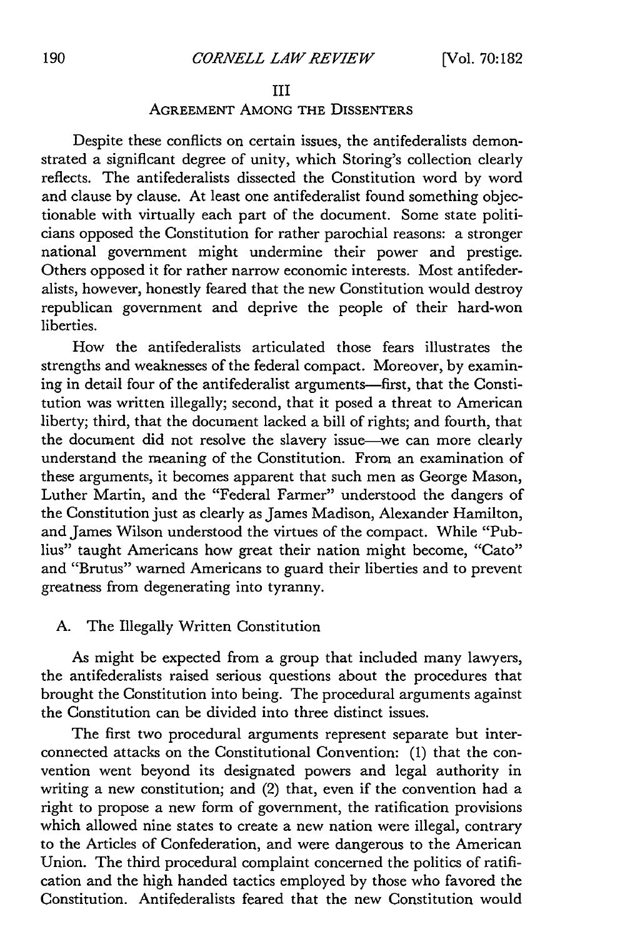#### III

# AGREEMENT AMONG THE DISSENTERS

Despite these conflicts on certain issues, the antifederalists demonstrated a significant degree of unity, which Storing's collection clearly reflects. The antifederalists dissected the Constitution word by word and clause by clause. At least one antifederalist found something objectionable with virtually each part of the document. Some state politicians opposed the Constitution for rather parochial reasons: a stronger national government might undermine their power and prestige. Others opposed it for rather narrow economic interests. Most antifederalists, however, honestly feared that the new Constitution would destroy republican government and deprive the people of their hard-won liberties.

How the antifederalists articulated those fears illustrates the strengths and weaknesses of the federal compact. Moreover, by examining in detail four of the antifederalist arguments-first, that the Constitution was written illegally; second, that it posed a threat to American liberty; third, that the document lacked a bill of rights; and fourth, that the document did not resolve the slavery issue-we can more clearly understand the meaning of the Constitution. From an examination of these arguments, it becomes apparent that such men as George Mason, Luther Martin, and the "Federal Farmer" understood the dangers of the Constitution just as clearly as James Madison, Alexander Hamilton, and James Wilson understood the virtues of the compact. While "Publius" taught Americans how great their nation might become, "Cato" and "Brutus" warned Americans to guard their liberties and to prevent greatness from degenerating into tyranny.

# A. The Illegally Written Constitution

As might be expected from a group that included many lawyers, the antifederalists raised serious questions about the procedures that brought the Constitution into being. The procedural arguments against the Constitution can be divided into three distinct issues.

The first two procedural arguments represent separate but interconnected attacks on the Constitutional Convention: (1) that the convention went beyond its designated powers and legal authority in writing a new constitution; and (2) that, even if the convention had a right to propose a new form of government, the ratification provisions which allowed nine states to create a new nation were illegal, contrary to the Articles of Confederation, and were dangerous to the American Union. The third procedural complaint concerned the politics of ratification and the high handed tactics employed by those who favored the Constitution. Antifederalists feared that the new Constitution would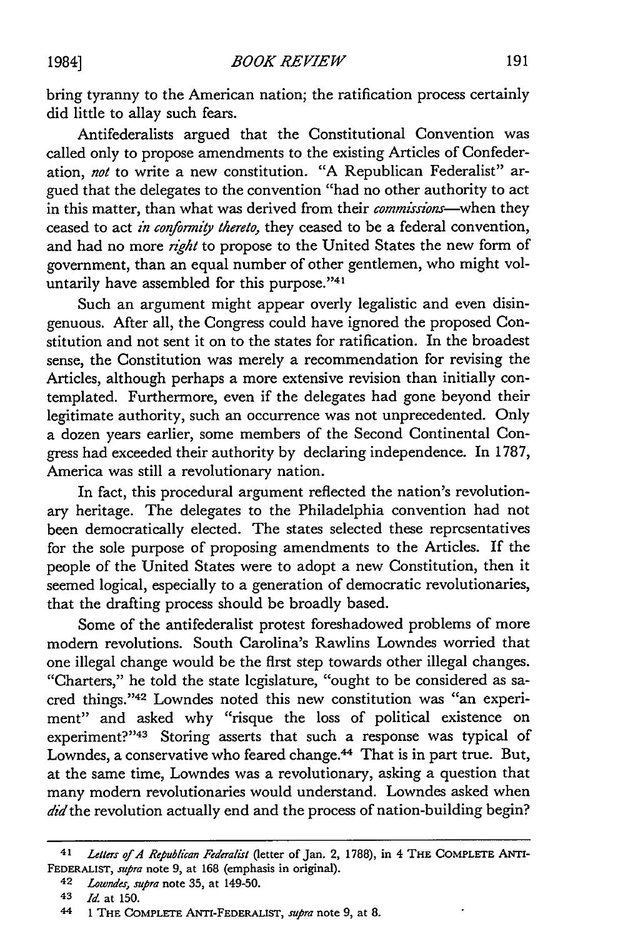1984]

bring tyranny to the American nation; the ratification process certainly did little to allay such fears.

Antifederalists argued that the Constitutional Convention was called only to propose amendments to the existing Articles of Confederation, *not* to write a new constitution. "A Republican Federalist" argued that the delegates to the convention "had no other authority to act in this matter, than what was derived from their *commissions-when* they ceased to act *in conformity thereto,* they ceased to be a federal convention, and had no more *right* to propose to the United States the new form of government, than an equal number of other gentlemen, who might voluntarily have assembled for this purpose."41

Such an argument might appear overly legalistic and even disingenuous. After all, the Congress could have ignored the proposed Constitution and not sent it on to the states for ratification. In the broadest sense, the Constitution was merely a recommendation for revising the Articles, although perhaps a more extensive revision than initially contemplated. Furthermore, even if the delegates had gone beyond their legitimate authority, such an occurrence was not unprecedented. Only a dozen years earlier, some members of the Second Continental Congress had exceeded their authority by declaring independence. In 1787, America was still a revolutionary nation.

In fact, this procedural argument reflected the nation's revolutionary heritage. The delegates to the Philadelphia convention had not been democratically elected. The states selected these representatives for the sole purpose of proposing amendments to the Articles. If the people of the United States were to adopt a new Constitution, then it seemed logical, especially to a generation of democratic revolutionaries, that the drafting process should be broadly based.

Some of the antifederalist protest foreshadowed problems of more modern revolutions. South Carolina's Rawlins Lowndes worried that one illegal change would be the first step towards other illegal changes. "Charters," he told the state legislature, "ought to be considered as sacred things."'42 Lowndes noted this new constitution was "an experiment" and asked why "risque the loss of political existence on experiment?"<sup>43</sup> Storing asserts that such a response was typical of Lowndes, a conservative who feared change.<sup>44</sup> That is in part true. But, at the same time, Lowndes was a revolutionary, asking a question that many modern revolutionaries would understand. Lowndes asked when did the revolution actually end and the process of nation-building begin?

*<sup>41</sup> Letters of A Republican Federalist* (letter **of** Jan. 2, 1788), **in** 4 **THE** COMPLETE ANTI-FEDERALIST, *supra* note 9, at 168 (emphasis in original).

<sup>42</sup> *Lowndes,* supra note 35, at 149-50.

**<sup>43</sup>** *Id.* at 150.

**<sup>44 1</sup>** THE COMPLETE ANTI-FEDERALIST, *supra* note 9, at **8.**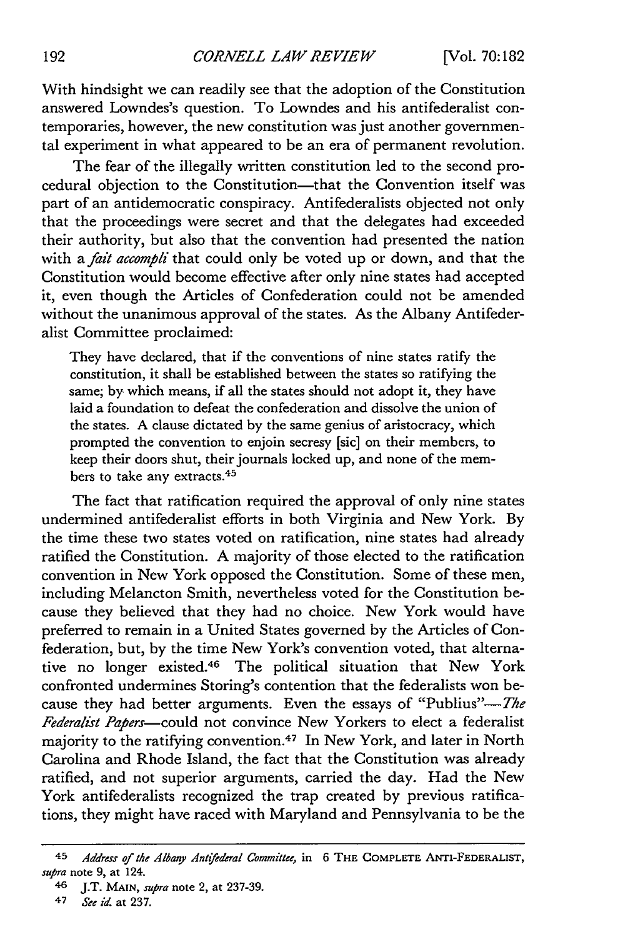With hindsight we can readily see that the adoption of the Constitution answered Lowndes's question. To Lowndes and his antifederalist contemporaries, however, the new constitution was just another governmental experiment in what appeared to be an era of permanent revolution.

The fear of the illegally written constitution led to the second procedural objection to the Constitution-that the Convention itself was part of an antidemocratic conspiracy. Antifederalists objected not only that the proceedings were secret and that the delegates had exceeded their authority, but also that the convention had presented the nation with a *fait accompli* that could only be voted up or down, and that the Constitution would become effective after only nine states had accepted it, even though the Articles of Confederation could not be amended without the unanimous approval of the states. As the Albany Antifederalist Committee proclaimed:

They have declared, that if the conventions of nine states ratify the constitution, it shall be established between the states so ratifying the same; by which means, if all the states should not adopt it, they have laid a foundation to defeat the confederation and dissolve the union of the states. A clause dictated by the same genius of aristocracy, which prompted the convention to enjoin secresy [sic] on their members, to keep their doors shut, their journals locked up, and none of the members to take any extracts. <sup>45</sup>

The fact that ratification required the approval of only nine states undermined antifederalist efforts in both Virginia and New York. By the time these two states voted on ratification, nine states had already ratified the Constitution. A majority of those elected to the ratification convention in New York opposed the Constitution. Some of these men, including Melancton Smith, nevertheless voted for the Constitution because they believed that they had no choice. New York would have preferred to remain in a United States governed by the Articles of Confederation, but, by the time New York's convention voted, that alternative no longer existed.46 The political situation that New York confronted undermines Storing's contention that the federalists won because they had better arguments. Even the essays of "Publius"- $The$ *Federalist Papers-could* not convince New Yorkers to elect a federalist majority to the ratifying convention.<sup>47</sup> In New York, and later in North Carolina and Rhode Island, the fact that the Constitution was already ratified, and not superior arguments, carried the day. Had the New York antifederalists recognized the trap created by previous ratifications, they might have raced with Maryland and Pennsylvania to be the

*<sup>45</sup> Address of the Albany Antifederal Committee,* in 6 **THE** COMPLETE ANTI-FEDERALIST, *supra* note 9, at 124.

<sup>46</sup> J.T. **MAIN,** *supra* note 2, at 237-39.

*<sup>47</sup> See id.* at 237.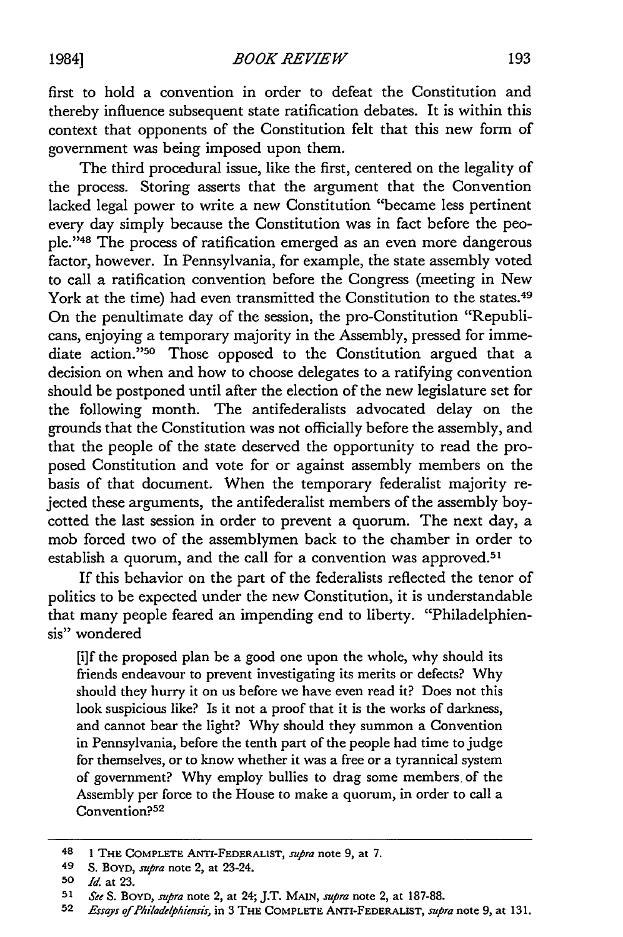first to hold a convention in order to defeat the Constitution and thereby influence subsequent state ratification debates. It is within this context that opponents of the Constitution felt that this new form of government was being imposed upon them.

The third procedural issue, like the first, centered on the legality of the process. Storing asserts that the argument that the Convention lacked legal power to write a new Constitution "became less pertinent every day simply because the Constitution was in fact before the people."'48 The process of ratification emerged as an even more dangerous factor, however. In Pennsylvania, for example, the state assembly voted to call a ratification convention before the Congress (meeting in New York at the time) had even transmitted the Constitution to the states.<sup>49</sup> On the penultimate day of the session, the pro-Constitution "Republicans, enjoying a temporary majority in the Assembly, pressed for immediate action."<sup>50</sup> Those opposed to the Constitution argued that a decision on when and how to choose delegates to a ratifying convention should be postponed until after the election of the new legislature set for the following month. The antifederalists advocated delay on the grounds that the Constitution was not officially before the assembly, and that the people of the state deserved the opportunity to read the proposed Constitution and vote for or against assembly members on the basis of that document. When the temporary federalist majority rejected these arguments, the antifederalist members of the assembly boycotted the last session in order to prevent a quorum. The next day, a mob forced two of the assemblymen back to the chamber in order to establish a quorum, and the call for a convention was approved.<sup>51</sup>

If this behavior on the part of the federalists reflected the tenor of politics to be expected under the new Constitution, it is understandable that many people feared an impending end to liberty. "Philadelphiensis" wondered

[i]f the proposed plan be a good one upon the whole, why should its friends endeavour to prevent investigating its merits or defects? Why should they hurry it on us before we have even read it? Does not this look suspicious like? Is it not a proof that it is the works of darkness, and cannot bear the light? Why should they summon a Convention in Pennsylvania, before the tenth part of the people had time to judge for themselves, or to know whether it was a free or a tyrannical system of government? Why employ bullies to drag some members of the Assembly per force to the House to make a quorum, in order to call a Convention?<sup>52</sup>

**<sup>48 1</sup> THE COMPLETE ANTI-FEDERALIST,** supra note 9, at 7.

**<sup>49</sup>** S. **BOYD,** supra note 2, at 23-24.

**<sup>50</sup>** *Id.* **at 23.**

**<sup>51</sup>** See *S.* BOYD, supra note 2, **at** 24; J.T. *MAIN, supra* **note** 2, **at** 187-88.

**<sup>52</sup>** *Essays of Philadelphiensis,* in **3** THE COMPLETE ANTI-FEDERALIST, *supra* note **9, at 131.**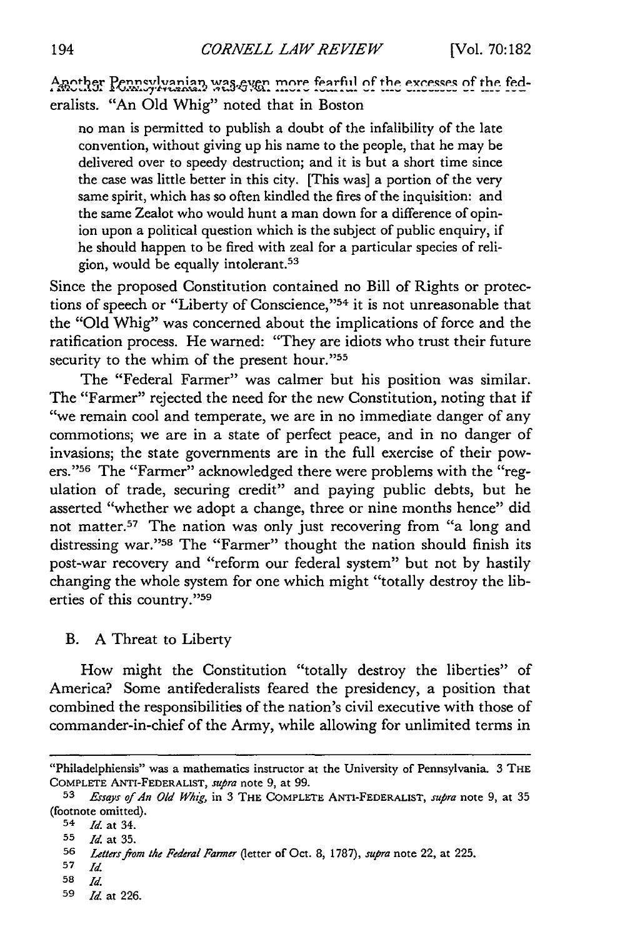Another Pennsylvanian was even more fearful of the excesses of the federalists. "An Old Whig" noted that in Boston

no man is permitted to publish a doubt of the infalibility of the late convention, without giving up his name to the people, that he may be delivered over to speedy destruction; and it is but a short time since the case was little better in this city. [This was] a portion of the very same spirit, which has so often kindled the fires of the inquisition: and the same Zealot who would hunt a man down for a difference of opinion upon a political question which is the subject of public enquiry, if he should happen to be fired with zeal for a particular species of religion, would be equally intolerant. <sup>53</sup>

Since the proposed Constitution contained no Bill of Rights or protections of speech or "Liberty of Conscience,"<sup>54</sup> it is not unreasonable that the "Old Whig" was concerned about the implications of force and the ratification process. He warned: "They are idiots who trust their future security to the whim of the present hour."55

The "Federal Farmer" was calmer but his position was similar. The "Farmer" rejected the need for the new Constitution, noting that if "we remain cool and temperate, we are in no immediate danger of any commotions; we are in a state of perfect peace, and in no danger of invasions; the state governments are in the full exercise of their powers."<sup>56</sup> The "Farmer" acknowledged there were problems with the "regulation of trade, securing credit" and paying public debts, but he asserted "whether we adopt a change, three or nine months hence" did not matter.57 The nation was only just recovering from "a long and distressing war."<sup>58</sup> The "Farmer" thought the nation should finish its post-war recovery and "reform our federal system" but not by hastily changing the whole system for one which might "totally destroy the liberties of this country." 59

# B. A Threat to Liberty

How might the Constitution "totally destroy the liberties" of America? Some antifederalists feared the presidency, a position that combined the responsibilities of the nation's civil executive with those of commander-in-chief of the Army, while allowing for unlimited terms in

<sup>&</sup>quot;Philadelphiensis" was a mathematics instructor at the University of Pennsylvania. 3 THE COMPLETE ANTI-FEDERALIST, supra note **9,** at **99.**

**<sup>53</sup>***Essays of An Old Whig,* in **3** THE COMPLETE ANTI-FEDERALIST, *supra* note 9, at **35** (footnote omitted).

**<sup>54</sup>** *Id.* at 34.

**<sup>55</sup>** *Id.* at 35.

**<sup>56</sup>** *Lettersjrom the Federal Farmer* (letter of Oct. 8, 1787), *supra* note 22, at 225.

**<sup>57</sup>** *Id*

**<sup>58</sup>** *Id*

**<sup>59</sup>** *Id.* at 226.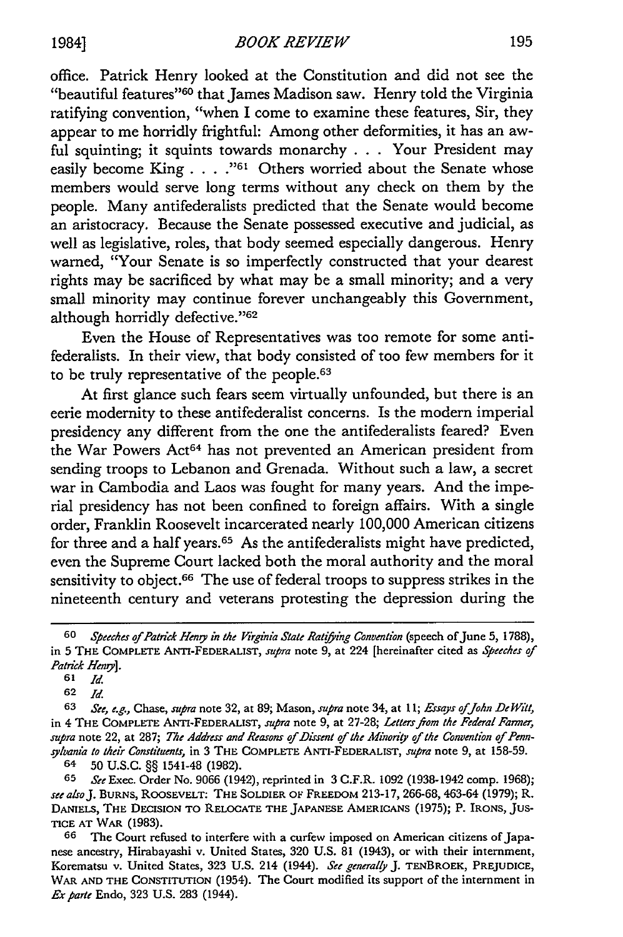office. Patrick Henry looked at the Constitution and did not see the "beautiful features"<sup>60</sup> that James Madison saw. Henry told the Virginia ratifying convention, "when I come to examine these features, Sir, they appear to me horridly frightful: Among other deformities, it has an awful squinting; it squints towards monarchy **.. .** Your President may easily become King **.... "61** Others worried about the Senate whose members would serve long terms without any check on them by the people. Many antifederalists predicted that the Senate would become an aristocracy. Because the Senate possessed executive and judicial, as well as legislative, roles, that body seemed especially dangerous. Henry warned, "Your Senate is so imperfectly constructed that your dearest rights may be sacrificed by what may be a small minority; and a very small minority may continue forever unchangeably this Government, although horridly defective."<sup>62</sup>

Even the House of Representatives was too remote for some antifederalists. In their view, that body consisted of too few members for it to be truly representative of the people. $63$ 

At first glance such fears seem virtually unfounded, but there is an eerie modernity to these antifederalist concerns. Is the modern imperial presidency any different from the one the antifederalists feared? Even the War Powers Act<sup>64</sup> has not prevented an American president from sending troops to Lebanon and Grenada. Without such a law, a secret war in Cambodia and Laos was fought for many years. And the imperial presidency has not been confined to foreign affairs. With a single order, Franklin Roosevelt incarcerated nearly 100,000 American citizens for three and a half years.<sup>65</sup> As the antifederalists might have predicted, even the Supreme Court lacked both the moral authority and the moral sensitivity to object.<sup>66</sup> The use of federal troops to suppress strikes in the nineteenth century and veterans protesting the depression during the

**<sup>60</sup>** *Speeches of Patrick Heng in the Virginia State Ratifing Convention* (speech ofJune 5, 1788), in 5 THE COMPLETE ANTI-FEDERALIST, *supra* note 9, at 224 [hereinafter cited as *Speeches of Patrick Heng].*

**<sup>61</sup>** *Id.*

**<sup>62</sup>** *Id*

**<sup>63</sup>** *See, e.g., Chase, supra* note 32, at 89; Mason, *supra* note 34, at *11; Essays ofJohn* De *Witt,* in 4 THE COMPLETE **ANTI-FEDERALIST,** *supra* note 9, at 27-28; *Letters fom the Federal Farmer, supra* note 22, at 287; *The Address and* Reasons *of Dissent of the Minority of the Convention of Pennsylvania to their Constituents,* in 3 THE COMPLETE ANTI-FEDERALIST, *supra* note 9, at 158-59.

<sup>64 50</sup> **U.S.C.** §§ 1541-48 (1982).

**<sup>65</sup>** *See* Exec. Order No. 9066 (1942), reprinted in 3 C.F.R. 1092 (1938-1942 comp. 1968); *see alsoJ.* BURNS, ROOSEVELT: THE SOLDIER **OF** FREEDOM 213-17, 266-68, 463-64 (1979); R. **DANIELS,** THE DECISION TO RELOCATE THE JAPANESE AMERICANS (1975); P. IRONS, **JUS-TICE AT** WAR (1983).

**<sup>66</sup>** The Court refused to interfere with a curfew imposed on American citizens of Japanese ancestry, Hirabayashi v. United States, 320 U.S. 81 (1943), or with their internment, Korematsu v. United States, 323 U.S. 214 (1944). *See generally* J. TENBROEK, PREJUDICE, WAR **AND** THE CONSTITUTION (1954). The Court modified its support of the internment in *Exparte* Endo, 323 U.S. 283 (1944).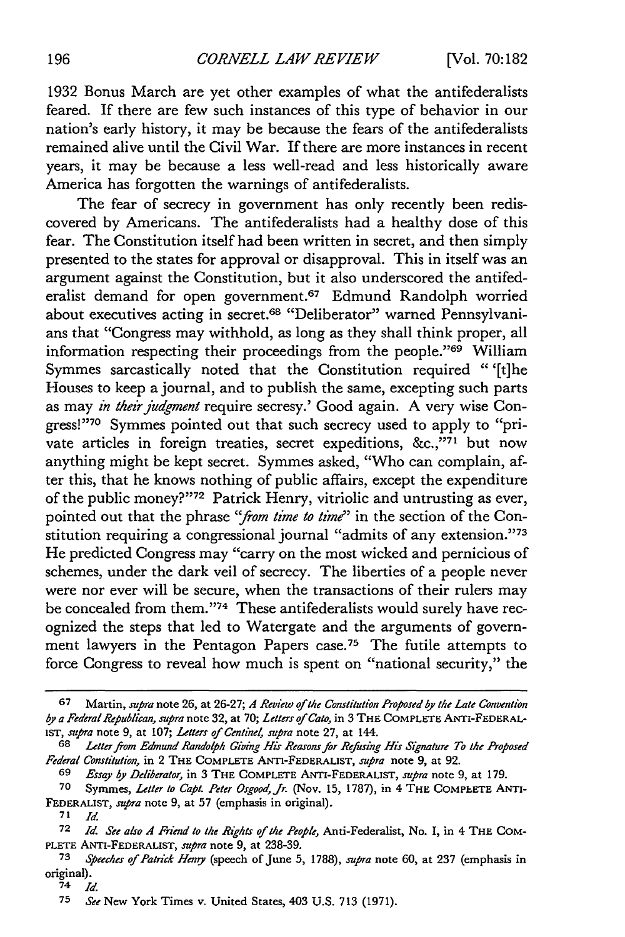1932 Bonus March are yet other examples of what the antifederalists feared. If there are few such instances of this type of behavior in our nation's early history, it may be because the fears of the antifederalists remained alive until the Civil War. If there are more instances in recent years, it may be because a less well-read and less historically aware America has forgotten the warnings of antifederalists.

The fear of secrecy in government has only recently been rediscovered by Americans. The antifederalists had a healthy dose of this fear. The Constitution itself had been written in secret, and then simply presented to the states for approval or disapproval. This in itself was an argument against the Constitution, but it also underscored the antifederalist demand for open government.<sup>67</sup> Edmund Randolph worried about executives acting in secret. 68 "Deliberator" warned Pennsylvanians that "Congress may withhold, as long as they shall think proper, all information respecting their proceedings from the people."69 William Symmes sarcastically noted that the Constitution required " '[t]he Houses to keep a journal, and to publish the same, excepting such parts as may *in their judgment* require secresy.' Good again. A very wise Congress!"70 Symmes pointed out that such secrecy used to apply to "private articles in foreign treaties, secret expeditions, &c.,"71 but now anything might be kept secret. Symmes asked, "Who can complain, after this, that he knows nothing of public affairs, except the expenditure of the public money?"<sup>72</sup> Patrick Henry, vitriolic and untrusting as ever, pointed out that the phrase *"from time to time"* in the section of the Constitution requiring a congressional journal "admits of any extension."73 He predicted Congress may "carry on the most wicked and pernicious of schemes, under the dark veil of secrecy. The liberties of a people never were nor ever will be secure, when the transactions of their rulers may be concealed from them."74 These antifederalists would surely have recognized the steps that led to Watergate and the arguments of government lawyers in the Pentagon Papers case.<sup>75</sup> The futile attempts to force Congress to reveal how much is spent on "national security," the

<sup>67</sup> Martin, *supra* note 26, at 26-27; *A Review of the Constitution Proposed by the Late Convention by a Federal Republican, supra* note 32, at 70; *Letters of Cato,* in 3 THE COMPLETE ANTI-FEDERALisT, *supra* note *9,* at 107; *Letters of Centinel, supra* note 27, at 144.

<sup>68</sup> *Letterfrom Edmund Randolph Giving His Reasons for Refusing His Signature To the Proposed Federal Constitution,* in 2 THE COMPLETE ANTI-FEDERALIST, *supra* note **9,** at **92.**

<sup>69</sup> *Essay by Deliberator,* in 3 THE COMPLETE ANTI-FEDERALIST, *supra* note 9, at 179.

<sup>70</sup> Symmes, *Letter to Capt. Peter Osgood, Jr.* (Nov. 15, 1787), in 4 THE COMPLETE ANTI-FEDERALIST, *supra* note **9,** at **57** (emphasis in original).

 $71$   $Id.$ 

**<sup>72</sup>** *Id. See also A Friend to the Rights of the People,* Anti-Federalist, No. I, in 4 THE COM-PLETE ANTI-FEDERALIST, *supra* note 9, at 238-39.

<sup>73</sup> *Speeches of Patrick Heny* (speech of June 5, 1788), *supra* note 60, at 237 (emphasis in original).

**<sup>74</sup>** *Id*

<sup>75</sup> *See* New York Times v. United States, 403 U.S. 713 (1971).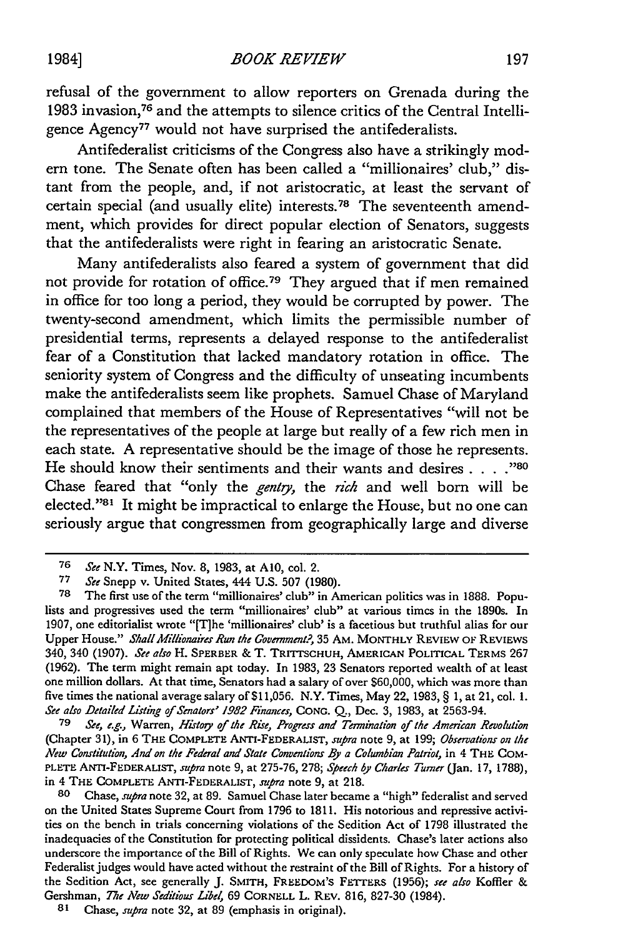refusal of the government to allow reporters on Grenada during the 1983 invasion,76 and the attempts to silence critics of the Central Intelligence Agency<sup>77</sup> would not have surprised the antifederalists.

Antifederalist criticisms of the Congress also have a strikingly modern tone. The Senate often has been called a "millionaires' club," distant from the people, and, if not aristocratic, at least the servant of certain special (and usually elite) interests.<sup>78</sup> The seventeenth amendment, which provides for direct popular election of Senators, suggests that the antifederalists were right in fearing an aristocratic Senate.

Many antifederalists also feared a system of government that did not provide for rotation of office.79 They argued that if men remained in office for too long a period, they would be corrupted by power. The twenty-second amendment, which limits the permissible number of presidential terms, represents a delayed response to the antifederalist fear of a Constitution that lacked mandatory rotation in office. The seniority system of Congress and the difficulty of unseating incumbents make the antifederalists seem like prophets. Samuel Chase of Maryland complained that members of the House of Representatives "will not be the representatives of the people at large but really of a few rich men in each state. A representative should be the image of those he represents. He should know their sentiments and their wants and desires . . . . <sup>780</sup> Chase feared that "only the *gentg,* the *rich* and well born will be elected."<sup>81</sup> It might be impractical to enlarge the House, but no one can seriously argue that congressmen from geographically large and diverse

*79 See, e.g.,* Warren, *Histoiy of the Rise, Progress and Termination of the American Revolution* (Chapter 31), in 6 THE COMPLETE ANTI-FEDERALIST, *supra* note 9, at 199; *Observations on the New Constitution, And on the Federal and State Conventions B a Columbian Patriot,* in 4 **THE** COM-PLETE ANTI-FEDERALIST, *supra* note 9, at 275-76, 278; *Speech by Charles Turner* (Jan. 17, 1788), in 4 THE COMPLETE **ANTI-FEDERALIST,** *supra* note 9, at 218.

**80** Chase, *supra* note 32, at 89. Samuel Chase later became a "high" federalist and served on the United States Supreme Court from 1796 to 1811. His notorious and repressive activities on the bench in trials concerning violations of the Sedition Act of 1798 illustrated the inadequacies of the Constitution for protecting political dissidents. Chase's later actions also underscore the importance of the Bill of Rights. We can only speculate how Chase and other Federalist judges would have acted without the restraint of the Bill of Rights. For a history of the Sedition Act, see generally **J.** SMITH, FREEDOM'S FETTERS (1956); *see also* Koffler & Gershman, *The New Seditious Libel,* **69** CORNELL L. REV. 816, 827-30 (1984).

197

**<sup>76</sup>** *See* N.Y. Times, Nov. 8, 1983, at **A10,** col. 2.

**<sup>77</sup>** *See* Snepp v. United States, 444 U.S. 507 (1980).

**<sup>78</sup>** The first use of the term "millionaires' club" in American politics was in 1888. Populists and progressives used the term "millionaires' club" at various times in the 1890s. In 1907, one editorialist wrote "[Tihe 'millionaires' club' is a facetious but truthful alias for our Upper House." *Shall Millionaires Run the Government?,* 35 AM. MONTHLY REVIEW OF REVIEWS 340, 340 (1907). *See also* H. **SPERBER** & T. TRITTSCHuH, AMERICAN POLITICAL TERMS **267** (1962). The term might remain apt today. In 1983, **23** Senators reported wealth of at least one million dollars. At that time, Senators had a salary of over \$60,000, which was more than five times the national average salary of \$11,056. N.Y. Times, May 22, 1983, § **1,** at **21,** col. **1.** *See also Detailed Listing of Senators' 1982 Finances,* **CONG. Q.,** Dec. 3, 1983, at 2563-94.

**<sup>81</sup>** Chase, *supra* note 32, at 89 (emphasis in original).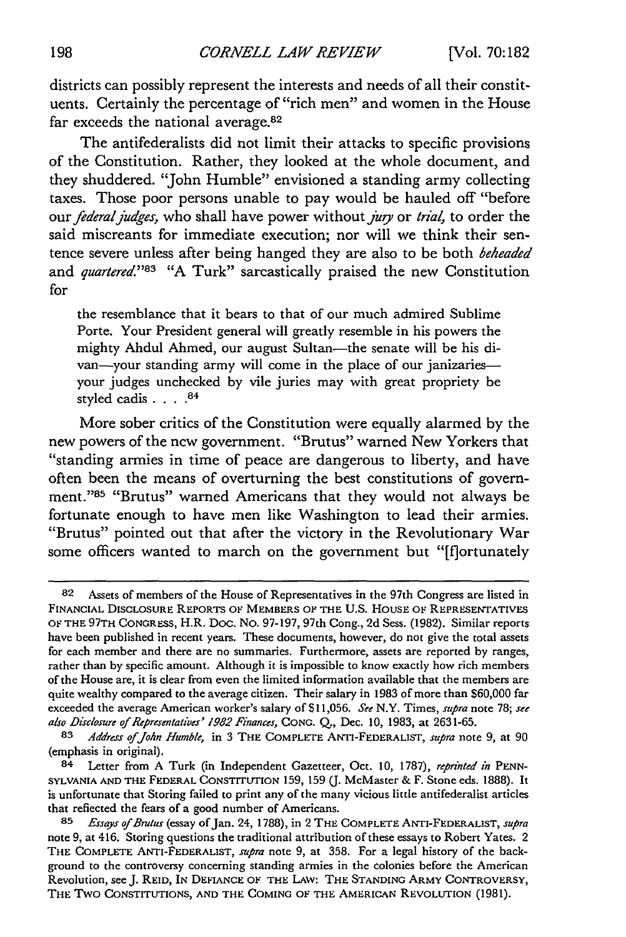districts can possibly represent the interests and needs of all their constituents. Certainly the percentage of "rich men" and women in the House far exceeds the national average.<sup>82</sup>

The antifederalists did not limit their attacks to specific provisions of the Constitution. Rather, they looked at the whole document, and they shuddered. "John Humble" envisioned a standing army collecting taxes. Those poor persons unable to pay would be hauled off "before our *federal judges,* who shall have power without *jug* or *trial,* to order the said miscreants for immediate execution; nor will we think their sentence severe unless after being hanged they are also to be both *beheaded* and *quartered.*"83 "A Turk" sarcastically praised the new Constitution for

the resemblance that it bears to that of our much admired Sublime Porte. Your President general will greatly resemble in his powers the mighty Ahdul Ahmed, our august Sultan-the senate will be his divan-your standing army will come in the place of our janizariesyour judges unchecked by vile juries may with great propriety be styled cadis **....** 84

More sober critics of the Constitution were equally alarmed by the new powers of the new government. "Brutus" warned New Yorkers that "standing armies in time of peace are dangerous to liberty, and have often been the means of overturning the best constitutions of government."<sup>85</sup> "Brutus" warned Americans that they would not always be fortunate enough to have men like Washington to lead their armies. "Brutus" pointed out that after the victory in the Revolutionary War some officers wanted to march on the government but "[f]ortunately

**<sup>82</sup>** Assets of members of the House of Representatives in the 97th Congress are listed in **FINANCIAL DISCLOSURE REPORTS** OF **MEMBERS OF THE U.S. HOUSE OF** REPRESENTATIVES **OF THE 97TH** CONGRESS, H.R. Doc. No. 97-197, 97th Cong., **2d** Sess. (1982). Similar reports have been published in recent years. These documents, however, do not give the total assets for each member and there are no summaries. Furthermore, assets are reported by ranges, rather than by specific amount. Although it is impossible to know exactly how rich members of the House are, it is clear from even the limited information available that the members are quite wealthy compared to the average citizen. Their salary in 1983 of more than \$60,000 far exceeded the average American worker's salary of \$11,056. See N.Y. Times, supra note 78; see also *Disclosure of Representatives' 1982 Finances,* **CONG.** Q., Dec. **10,** 1983, at 2631-65.

*<sup>83</sup> Address ofJohn Humble,* in 3 THE COMPLETE ANTI-FEDERALIST, *supra* note 9, at 90 (emphasis in original).

<sup>84</sup> Letter from A Turk (in Independent Gazetteer, Oct. 10, 1787), *reprinted in* **PENN-SYLVANIA AND** THE FEDERAL **CONSTITUTION** 159, 159 (J. McMaster & F. Stone eds. 1888). It is unfortunate that Storing failed to print any of the many vicious little antifederalist articles that reflected the fears of a good number of Americans.

**<sup>85</sup>** *Essays of Brutus* (essay of Jan. **24,** 1788), in 2 THE **COMPLETE** ANTI-FEDERALIST, *supra* note 9, at 416. Storing questions the traditional attribution of these essays to Robert Yates. 2 **THE** COMPLETE ANTI-FEDERALIST, *supra* note 9, at 358. For a legal history of the background to the controversy concerning standing armies in the colonies before the American Revolution, see J. **REID,** IN **DEFIANCE** OF THE **LAW:** THE **STANDING ARMY** CONTROVERSY, THE Two **CONSTITUTIONS, AND** THE **COMING** OF THE AMERICAN **REVOLUTION** (1981).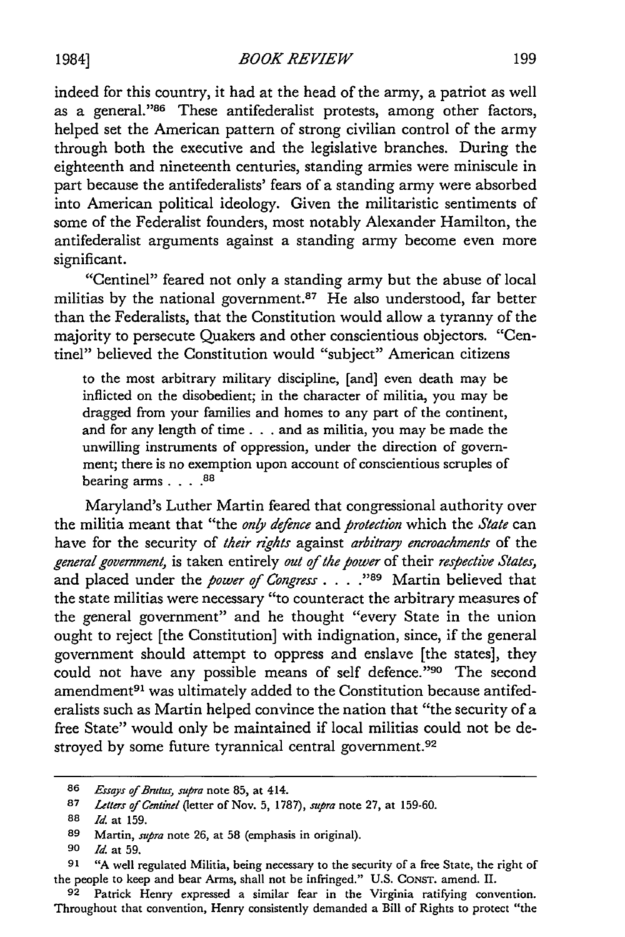indeed for this country, it had at the head of the army, a patriot as well as a general."<sup>86</sup> These antifederalist protests, among other factors, helped set the American pattern of strong civilian control of the army through both the executive and the legislative branches. During the eighteenth and nineteenth centuries, standing armies were miniscule in part because the antifederalists' fears of a standing army were absorbed into American political ideology. Given the militaristic sentiments of some of the Federalist founders, most notably Alexander Hamilton, the antifederalist arguments against a standing army become even more significant.

"Centinel" feared not only a standing army but the abuse of local militias by the national government.<sup>87</sup> He also understood, far better than the Federalists, that the Constitution would allow a tyranny of the majority to persecute Quakers and other conscientious objectors. "Centinel" believed the Constitution would "subject" American citizens

to the most arbitrary military discipline, [and] even death may be inflicted on the disobedient; in the character of militia, you may be dragged from your families and homes to any part of the continent, and for any length of time. **. .** and as militia, you may be made the unwilling instruments of oppression, under the direction of government; there is no exemption upon account of conscientious scruples of bearing arms **.... 88**

Maryland's Luther Martin feared that congressional authority over the militia meant that "the *only defence* and *protection* which the *State* can have for the security of *their rights* against *arbitraq encroachments* of the *general government,* is taken entirely *out of the power* of their *respective States,* and placed under the *power of Congress* **... \*"89** Martin believed that the state militias were necessary "to counteract the arbitrary measures of the general government" and he thought "every State in the union ought to reject [the Constitution] with indignation, since, if the general government should attempt to oppress and enslave [the states], they could not have any possible means of self defence." <sup>990</sup> The second amendment<sup>91</sup> was ultimately added to the Constitution because antifederalists such as Martin helped convince the nation that "the security of a free State" would only be maintained if local militias could not be destroyed by some future tyrannical central government.<sup>92</sup>

**<sup>86</sup>** Essays *of Braus, supra* note 85, at 414.

**<sup>87</sup>** *Letters of Centinet* (letter of Nov. 5, 1787), *supra* note 27, at 159-60.

**<sup>88</sup> Id.** at 159.

**<sup>89</sup>** Martin, *supra* note 26, at 58 (emphasis in original).

**<sup>90</sup>** *Id* at 59.

**<sup>91</sup>** "A well regulated Militia, being necessary to the security of a free State, the right of the people to keep and bear Arms, shall not be infringed." U.S. CONST. amend. II.

**<sup>92</sup>** Patrick Henry expressed a similar fear in the Virginia ratifying convention. Throughout that convention, Henry consistently demanded a Bill of Rights to protect "the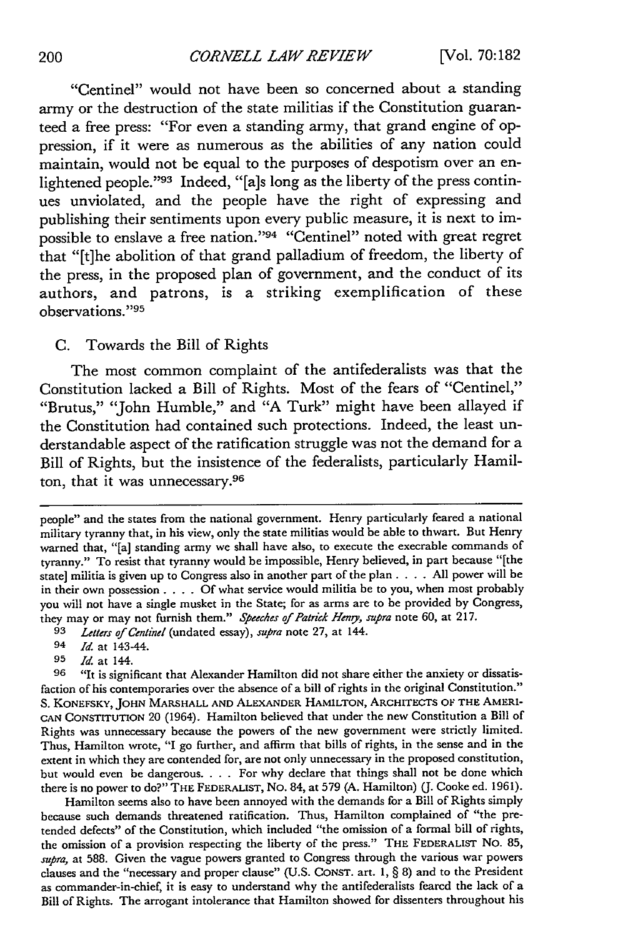# *CORNELL LAW REVIEW*

"Centinel" would not have been so concerned about a standing army or the destruction of the state militias if the Constitution guaranteed a free press: "For even a standing army, that grand engine of oppression, if it were as numerous as the abilities of any nation could maintain, would not be equal to the purposes of despotism over an enlightened people."93 Indeed, "[a]s long as the liberty of the press continues unviolated, and the people have the right of expressing and publishing their sentiments upon every public measure, it is next to impossible to enslave a free nation."94 "Centinel" noted with great regret that "[t]he abolition of that grand palladium of freedom, the liberty of the press, in the proposed plan of government, and the conduct of its authors, and patrons, is a striking exemplification of these observations."<sup>95</sup>

# C. Towards the Bill of Rights

The most common complaint of the antifederalists was that the Constitution lacked a Bill of Rights. Most of the fears of "Centinel," "Brutus," "John Humble," and "A Turk" might have been allayed if the Constitution had contained such protections. Indeed, the least understandable aspect of the ratification struggle was not the demand for a Bill of Rights, but the insistence of the federalists, particularly Hamilton, that it was unnecessary.<sup>96</sup>

**95** *Id* at 144.

Hamilton seems also to have been annoyed with the demands for a Bill of Rights simply because such demands threatened ratification. Thus, Hamilton complained of "the pretended defects" of the Constitution, which included "the omission of a formal bill of rights, the omission of a provision respecting the liberty of the press." THE FEDERALIST No. 85, *supra,* at 588. Given the vague powers granted to Congress through the various war powers clauses and the "necessary and proper clause" (U.S. CONST. art. **1,** § 8) and to the President as commander-in-chief, it is easy to understand why the antifederalists feared the lack of a Bill of Rights. The arrogant intolerance that Hamilton showed for dissenters throughout his

people" and the states from the national government. Henry particularly feared a national military tyranny that, in his view, only the state militias would be able to thwart. But Henry warned that, "[a] standing army we shall have also, to execute the execrable commands of tyranny." To resist that tyranny would be impossible, Henry believed, in part because "[the state] militia is given up to Congress also in another part of the plan. . **.** . All power will be in their own possession. . **.** . Of what service would militia be to you, when most probably you will not have a single musket in the State; for as arms are to be provided by Congress, they may or may not furnish them." *Speeches of Patrick Heng, supra* note 60, at 217.

**<sup>93</sup>** *Letters of Centinel* (undated essay), *supra* note 27, at 144.

<sup>94</sup> *Id* at 143-44.

**<sup>96</sup>** "It is significant that Alexander Hamilton did not share either the anxiety or dissatisfaction of his contemporaries over the absence of a bill of rights in the original Constitution." S. KONEFSKY, JOHN MARSHALL **AND** ALEXANDER HAMILTON, ARCHITECTS OF THE AMERI-CAN CONSTITUTION 20 (1964). Hamilton believed that under the new Constitution a Bill of Rights was unnecessary because the powers of the new government were strictly limited. Thus, Hamilton wrote, "I go further, and affirm that bills of rights, in the sense and in the extent in which they are contended for, are not only unnecessary in the proposed constitution, but would even be dangerous. . **.** . For why declare that things shall not be done which there is no power to do?" THE FEDERALIST, No. 84, at 579 (A. Hamilton) (J. Cooke ed. 1961).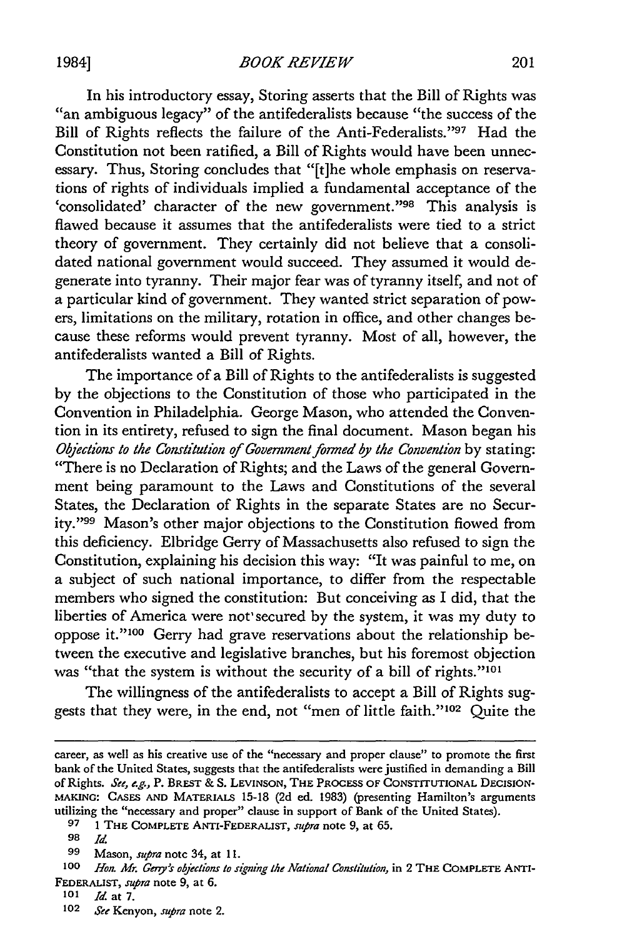In his introductory essay, Storing asserts that the Bill of Rights was "an ambiguous legacy" of the antifederalists because "the success of the Bill of Rights reflects the failure of the Anti-Federalists. '97 Had the Constitution not been ratified, a Bill of Rights would have been unnecessary. Thus, Storing concludes that "[t]he whole emphasis on reservations of rights of individuals implied a fundamental acceptance of the 'consolidated' character of the new government."98 This analysis is flawed because it assumes that the antifederalists were tied to a strict theory of government. They certainly did not believe that a consolidated national government would succeed. They assumed it would degenerate into tyranny. Their major fear was of tyranny itself, and not of a particular kind of government. They wanted strict separation of powers, limitations on the military, rotation in office, and other changes because these reforms would prevent tyranny. Most of all, however, the antifederalists wanted a Bill of Rights.

The importance of a Bill of Rights to the antifederalists is suggested by the objections to the Constitution of those who participated in the Convention in Philadelphia. George Mason, who attended the Convention in its entirety, refused to sign the final document. Mason began his *Objections to the Constitution of Government fonned by the Convention* by stating: "There is no Declaration of Rights; and the Laws of the general Government being paramount to the Laws and Constitutions of the several States, the Declaration of Rights in the separate States are no Security."99 Mason's other major objections to the Constitution flowed from this deficiency. Elbridge Gerry of Massachusetts also refused to sign the Constitution, explaining his decision this way: "It was painful to me, on a subject of such national importance, to differ from the respectable members who signed the constitution: But conceiving as I did, that the liberties of America were not' secured by the system, it was my duty to oppose **it."100** Gerry had grave reservations about the relationship between the executive and legislative branches, but his foremost objection was "that the system is without the security of a bill of rights."<sup>101</sup>

The willingness of the antifederalists to accept a Bill of Rights suggests that they were, in the end, not "men of little faith."<sup>102</sup> Quite the

1984]

career, as well as his creative use of the "necessary and proper clause" to promote the first bank of the United States, suggests that the antifederalists were justified in demanding a Bill of Rights. *See, e.g.,* P. BREST *&* **S. LEVINSON, THE PROCESS OF CONSTITUTIONAL DECISION-MAKING: CASES AND** MATERIALS **15-18 (2d** ed. **1983)** (presenting Hamilton's arguments utilizing the "necessary and proper" clause in support of Bank of the United States).

**<sup>97 1</sup>** THE COMPLETE ANTI-FEDERALIST, *supra* note 9, at 65.

**<sup>98</sup>** *Id.*

*<sup>99</sup>* Mason, *supra* note 34, at **11.**

**<sup>100</sup>** *Ho; Mr. Geny's objections to signing the National Constitution,* in 2 THE COMPLETE ANTI-FEDERALIST, supra note 9, at 6.

*<sup>101</sup> Id.* at 7.

<sup>102</sup> *See* Kenyon, *supra* note 2.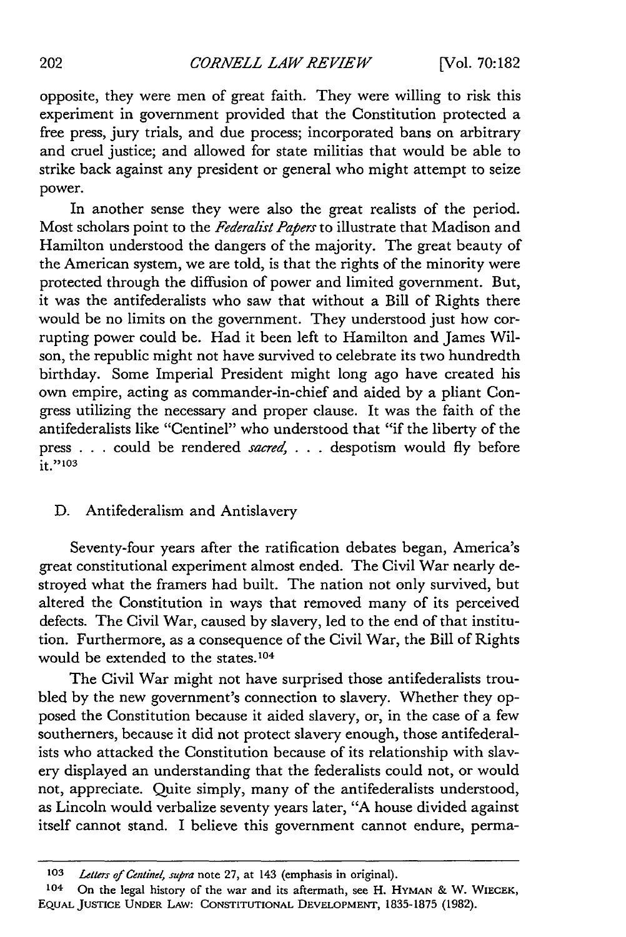opposite, they were men of great faith. They were willing to risk this experiment in government provided that the Constitution protected a free press, jury trials, and due process; incorporated bans on arbitrary and cruel justice; and allowed for state militias that would be able to strike back against any president or general who might attempt to seize power.

In another sense they were also the great realists of the period. Most scholars point to the *Federalist Papers* to illustrate that Madison and Hamilton understood the dangers of the majority. The great beauty of the American system, we are told, is that the rights of the minority were protected through the diffusion of power and limited government. But, it was the antifederalists who saw that without a Bill of Rights there would be no limits on the government. They understood just how corrupting power could be. Had it been left to Hamilton and James Wilson, the republic might not have survived to celebrate its two hundredth birthday. Some Imperial President might long ago have created his own empire, acting as commander-in-chief and aided by a pliant Congress utilizing the necessary and proper clause. It was the faith of the antifederalists like "Centinel" who understood that "if the liberty of the press . . . could be rendered sacred, *. . .* despotism would fly before it."<sup>103</sup>

# D. Antifederalism and Antislavery

Seventy-four years after the ratification debates began, America's great constitutional experiment almost ended. The Civil War nearly destroyed what the framers had built. The nation not only survived, but altered the Constitution in ways that removed many of its perceived defects. The Civil War, caused by slavery, led to the end of that institution. Furthermore, as a consequence of the Civil War, the Bill of Rights would be extended to the states. **<sup>104</sup>**

The Civil War might not have surprised those antifederalists troubled by the new government's connection to slavery. Whether they opposed the Constitution because it aided slavery, or, in the case of a few southerners, because it did not protect slavery enough, those antifederalists who attacked the Constitution because of its relationship with slavery displayed an understanding that the federalists could not, or would not, appreciate. Quite simply, many of the antifederalists understood, as Lincoln would verbalize seventy years later, "A house divided against itself cannot stand. I believe this government cannot endure, perma-

**<sup>103</sup>** *Letters of Centinel, supra* **note 27, at** 143 (emphasis **in** original).

**<sup>104</sup>** On **the** legal history of the war and its aftermath, **see** H. HYMAN **&** W. WIECEK, **EQUAL JUSTICE UNDER** LAW: **CONSTITUTIONAL DEVELOPMENT, 1835-1875 (1982).**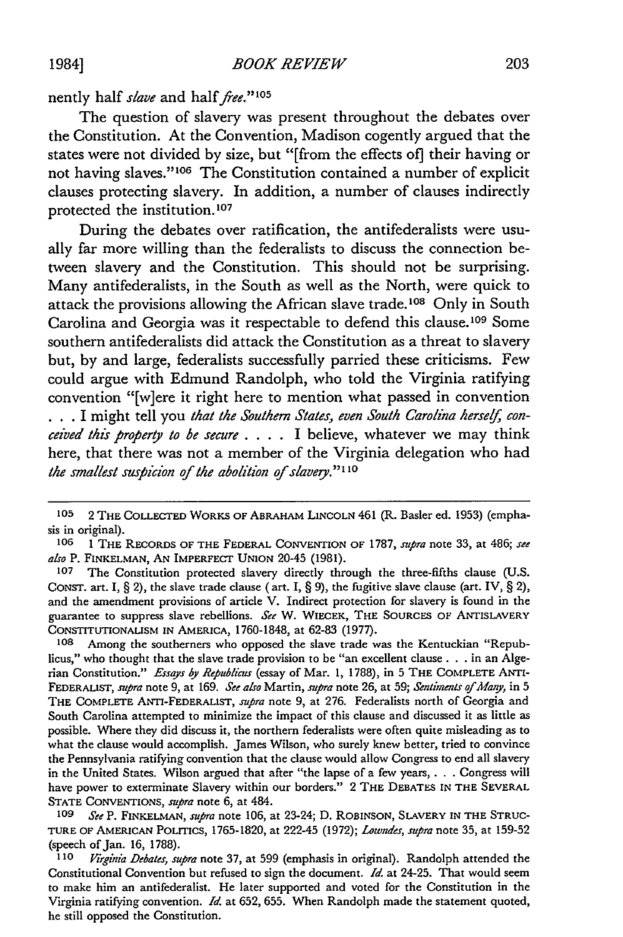# nently half *slave* and half *free.*"<sup>105</sup>

The question of slavery was present throughout the debates over the Constitution. At the Convention, Madison cogently argued that the states were not divided by size, but "[from the effects of] their having or not having slaves."<sup>106</sup> The Constitution contained a number of explicit clauses protecting slavery. In addition, a number of clauses indirectly protected the institution.<sup>107</sup>

During the debates over ratification, the antifederalists were usually far more willing than the federalists to discuss the connection between slavery and the Constitution. This should not be surprising. Many antifederalists, in the South as well as the North, were quick to attack the provisions allowing the African slave trade.<sup>108</sup> Only in South Carolina and Georgia was it respectable to defend this clause.<sup>109</sup> Some southern antifederalists did attack the Constitution as a threat to slavery but, by and large, federalists successfully parried these criticisms. Few could argue with Edmund Randolph, who told the Virginia ratifying convention "[w]ere it right here to mention what passed in convention . . . I might tell you *that the Southern States, even South Carolina herself, conceived this property to be secure* **....** I believe, whatever we may think here, that there was not a member of the Virginia delegation who had *the smallest suspicion of the abolition of slaver." I1 0*

**<sup>105</sup>** 2 **THE COLLECTED** WORKS OF ABRAHAM **LINCOLN** 461 (R. Basler ed. 1953) (emphasis in original).

**<sup>106 1</sup> THE** RECORDS OF THE FEDERAL CONVENTION OF 1787, *supra* note 33, at 486; *see also* P. **FINKELMAN, AN** IMPERFECT **UNION** 20-45 (1981).

**<sup>107</sup>** The Constitution protected slavery directly through the three-fifths clause (U.S. **CONST.** art. I, § 2), the slave trade clause (art. I, § 9), the fugitive slave clause (art. IV, § 2), and the amendment provisions of article V. Indirect protection for slavery is found in the guarantee to suppress slave rebellions. *See* W. WIECEK, THE **SOURCES** OF ANTISLAVERY CONSTITUTIONALISM **IN** AMERICA, 1760-1848, at 62-83 (1977).

Among the southerners who opposed the slave trade was the Kentuckian "Republicus," who thought that the slave trade provision to be "an excellent clause. **. .** in an Algerian Constitution." *Essays by Republicus* (essay of Mar. 1, 1788), in 5 THE COMPLETE ANTI-FEDERALIST, supra note 9, at 169. *See also* Martin, *supra* note 26, at 59; *Sentiments of Many,* in 5 THE COMPLETE ANTI-FEDERALIST, *supra* note 9, at 276. Federalists north of Georgia and South Carolina attempted to minimize the impact of this clause and discussed it as little as possible. Where they did discuss it, the northern federalists were often quite misleading as to what the clause would accomplish. James Wilson, who surely knew better, tried to convince the Pennsylvania ratifying convention that the clause would allow Congress to end all slavery in the United States. Wilson argued that after "the lapse of a few years, **. .** . Congress will have power to exterminate Slavery within our borders." 2 THE **DEBATES IN** THE SEVERAL **STATE CONVENTIONS,** *supra* note 6, at 484.

*<sup>109</sup> See* P. **FINKELMAN,** *supra* note 106, at 23-24; D. **ROBINSON,** SLAVERY **IN** THE **STRUC-**TURE OF **AMERICAN POLITICS,** 1765-1820, at 222-45 (1972); *Lowndes, supra* note 35, at 159-52 (speech of Jan. 16, 1788).

**<sup>110</sup>** *Virginia Debates, supra* note 37, at 599 (emphasis in original). Randolph attended the Constitutional Convention but refused to sign the document. *Id.* at 24-25. That would seem to make him an antifederalist. He later supported and voted for the Constitution in the Virginia ratifying convention. *Id.* at 652, 655. When Randolph made the statement quoted, he still opposed the Constitution.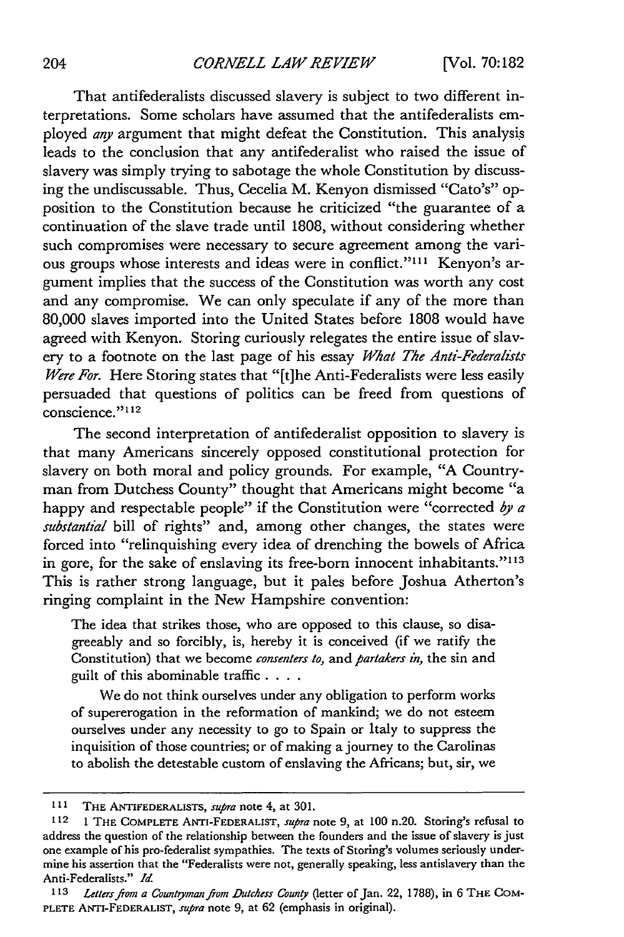#### *CORNELL LAW REVIEW*

That antifederalists discussed slavery is subject to two different interpretations. Some scholars have assumed that the antifederalists employed *any* argument that might defeat the Constitution. This analysis leads to the conclusion that any antifederalist who raised the issue of slavery was simply trying to sabotage the whole Constitution by discussing the undiscussable. Thus, Cecelia M. Kenyon dismissed "Cato's" opposition to the Constitution because he criticized "the guarantee of a continuation of the slave trade until 1808, without considering whether such compromises were necessary to secure agreement among the various groups whose interests and ideas were in conflict."<sup>111</sup> Kenyon's argument implies that the success of the Constitution was worth any cost and any compromise. We can only speculate if any of the more than 80,000 slaves imported into the United States before 1808 would have agreed with Kenyon. Storing curiously relegates the entire issue of slavery to a footnote on the last page of his essay *What The Anti-Federalists Were For.* Here Storing states that "[t]he Anti-Federalists were less easily persuaded that questions of politics can be freed from questions of conscience."<sup>112</sup>

The second interpretation of antifederalist opposition to slavery is that many Americans sincerely opposed constitutional protection for slavery on both moral and policy grounds. For example, "A Countryman from Dutchess County" thought that Americans might become "a happy and respectable people" if the Constitution were "corrected *by a substantial* bill of rights" and, among other changes, the states were forced into "relinquishing every idea of drenching the bowels of Africa in gore, for the sake of enslaving its free-born innocent inhabitants."<sup>113</sup> This is rather strong language, but it pales before Joshua Atherton's ringing complaint in the New Hampshire convention:

The idea that strikes those, who are opposed to this clause, so disagreeably and so forcibly, is, hereby it is conceived (if we ratify the Constitution) that we become *consenters to,* and *partakers in,* the sin and guilt of this abominable traffic **....**

We do not think ourselves under any obligation to perform works of supererogation in the reformation of mankind; we do not esteem ourselves under any necessity to go to Spain or Italy to suppress the inquisition of those countries; or of making a journey to the Carolinas to abolish the detestable custom of enslaving the Africans; but, sir, we

**<sup>111</sup> THE** ANTIEDERALISTS, supra note 4, at 301.

**<sup>112 1</sup>** THE COMPLETE ANTI-FEDERALIST, *supra* note 9, at **100** n.20. Storing's refusal to address the question of the relationship between the founders and the issue of slavery is just one example of his pro-federalist sympathies. The texts of Storing's volumes seriously undermine his assertion that the "Federalists were not, generally speaking, less antislavery than the Anti-Federalists." *Id.*

<sup>113</sup> *Letters from a Countryman from Dutchess County* (letter of Jan. 22, 1788), in 6 THE COM-PLETE ANTI-FEDERALIST, *supra* note 9, at 62 (emphasis in original).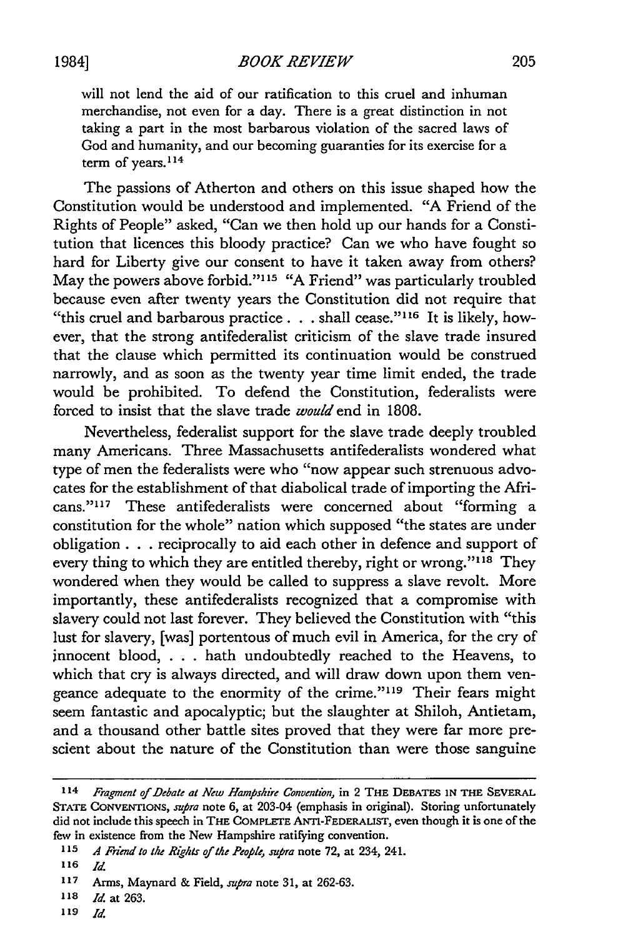*BOOK REVIEW*

will not lend the aid of our ratification to this cruel and inhuman merchandise, not even for a day. There is a great distinction in not taking a part in the most barbarous violation of the sacred laws of God and humanity, and our becoming guaranties for its exercise for a term of years.<sup>114</sup>

The passions of Atherton and others on this issue shaped how the Constitution would be understood and implemented. "A Friend of the Rights of People" asked, "Can we then hold up our hands for a Constitution that licences this bloody practice? Can we who have fought so hard for Liberty give our consent to have it taken away from others? May the powers above forbid."<sup>115</sup> "A Friend" was particularly troubled because even after twenty years the Constitution did not require that "this cruel and barbarous practice. **. .** shall cease." <sup>1</sup> 6 It is likely, however, that the strong antifederalist criticism of the slave trade insured that the clause which permitted its continuation would be construed narrowly, and as soon as the twenty year time limit ended, the trade would be prohibited. To defend the Constitution, federalists were forced to insist that the slave trade *would* end in 1808.

Nevertheless, federalist support for the slave trade deeply troubled many Americans. Three Massachusetts antifederalists wondered what type of men the federalists were who "now appear such strenuous advocates for the establishment of that diabolical trade of importing the Africans."117 These antifederalists were concerned about "forming a constitution for the whole" nation which supposed "the states are under obligation. **. .** reciprocally to aid each other in defence and support of every thing to which they are entitled thereby, right or wrong."<sup>118</sup> They wondered when they would be called to suppress a slave revolt. More importantly, these antifederalists recognized that a compromise with slavery could not last forever. They believed the Constitution with "this lust for slavery, [was] portentous of much evil in America, for the cry of innocent blood, . . . hath undoubtedly reached to the Heavens, to which that cry is always directed, and will draw down upon them vengeance adequate to the enormity of the crime."119 Their fears might seem fantastic and apocalyptic; but the slaughter at Shiloh, Antietam, and a thousand other battle sites proved that they were far more prescient about the nature of the Constitution than were those sanguine

- **118** *Id.* at **263.**
- **"9** *Id.*

<sup>114</sup> *Fragment of Debate at New Hampishire Convention,* in 2 THE **DEBATES** IN **THE SEVERAL STATE CONVENTIONS,** *supra* note 6, at 203-04 (emphasis in original). Storing unfortunately did not include this speech in THE COMPLETE ANTI-FEDERALIST, even though it is one of the few in existence from the New Hampshire ratifying convention.

**<sup>115</sup>** *A Friend to the Rights of the People, supra* note 72, at 234, 241.

**<sup>116</sup>** *Id*

**<sup>117</sup>** Arms, Maynard & Field, *supra* note **3 1,** at **262-63.**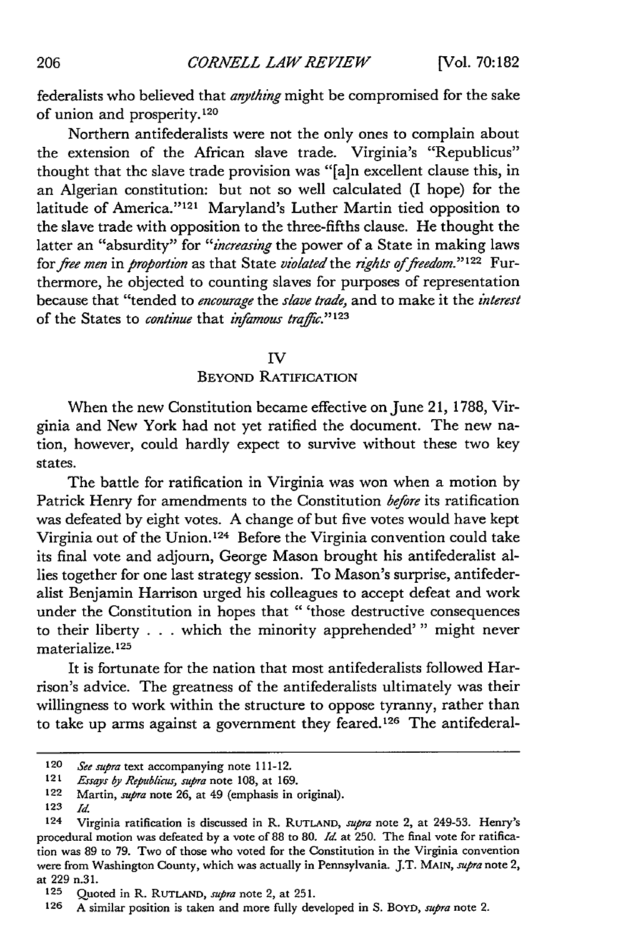federalists who believed that *anything* might be compromised for the sake of union and prosperity. <sup>120</sup>

Northern antifederalists were not the only ones to complain about the extension of the African slave trade. Virginia's "Republicus" thought that the slave trade provision was "[a]n excellent clause this, in an Algerian constitution: but not so well calculated (I hope) for the latitude of America."<sup>121</sup> Maryland's Luther Martin tied opposition to the slave trade with opposition to the three-fifths clause. He thought the latter an "absurdity" for *"increasing* the power of a State in making laws for *free men* in *proportion* as that State *violated* the *rights of freedom*."<sup>122</sup> Furthermore, he objected to counting slaves for purposes of representation because that "tended to *encourage* the *slave trade,* and to make it the *interest* of the States to *continue* that *infamous traffic*."<sup>123</sup>

#### IV

#### BEYOND RATIFICATION

When the new Constitution became effective on June 21, 1788, Virginia and New York had not yet ratified the document. The new nation, however, could hardly expect to survive without these two key states.

The battle for ratification in Virginia was won when a motion by Patrick Henry for amendments to the Constitution *before* its ratification was defeated by eight votes. A change of but five votes would have kept Virginia out of the Union.<sup>124</sup> Before the Virginia convention could take its final vote and adjourn, George Mason brought his antifederalist allies together for one last strategy session. To Mason's surprise, antifederalist Benjamin Harrison urged his colleagues to accept defeat and work under the Constitution in hopes that "'those destructive consequences to their liberty . . . which the minority apprehended'" might never materialize. **1 25**

It is fortunate for the nation that most antifederalists followed Harrison's advice. The greatness of the antifederalists ultimately was their willingness to work within the structure to oppose tyranny, rather than to take up arms against a government they feared.<sup>126</sup> The antifederal-

**123** *Id*

<sup>120</sup> *See* supra text accompanying note 111-12.

<sup>121</sup> Essays by Republicus, supra note 108, at 169.

<sup>122</sup> Martin, *supra* note 26, at 49 (emphasis in original).

**<sup>124</sup>** Virginia ratification is discussed in R. **RUTLAND,** *supra* note 2, at 249-53. Henry's procedural motion was defeated by a vote of 88 to **80.** *Id.* at 250. The final vote for ratification was 89 to 79. Two of those who voted for the Constitution in the Virginia convention were from Washington County, which was actually in Pennsylvania. J.T. **MAIN,** *supra* note 2, at 229 n.31.

**<sup>125</sup>** Quoted in R. **RUTLAND,** *supra* note 2, at 251.

**<sup>126</sup>** A similar position is taken and more fully developed in S. BOYD, *supra* note 2.